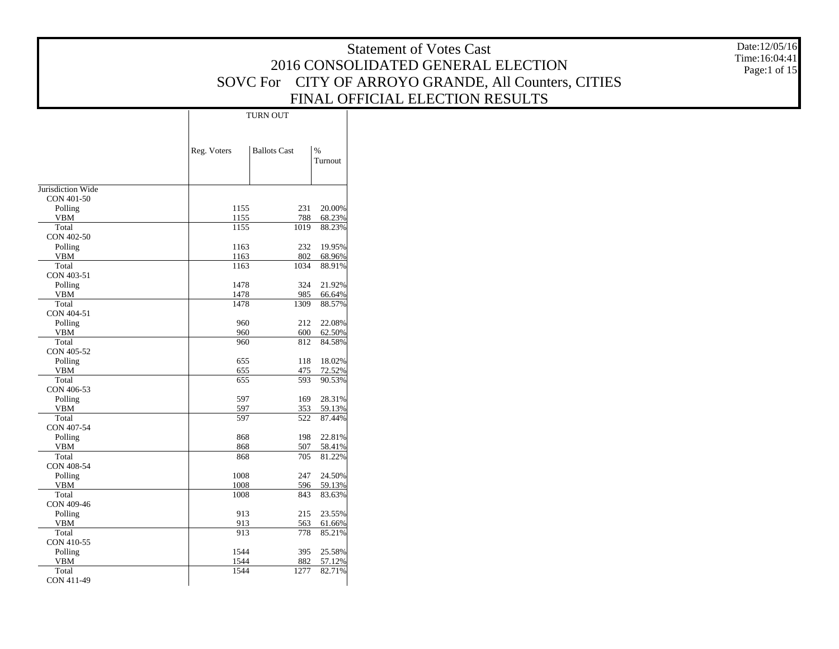|                                 |                 |                                     | <b>Statement of Votes Cast</b>                       | Date:12/05/16                 |
|---------------------------------|-----------------|-------------------------------------|------------------------------------------------------|-------------------------------|
|                                 |                 |                                     | 2016 CONSOLIDATED GENERAL ELECTION                   | Time:16:04:41<br>Page:1 of 15 |
|                                 |                 |                                     | SOVC For CITY OF ARROYO GRANDE, All Counters, CITIES |                               |
|                                 |                 |                                     |                                                      |                               |
|                                 |                 |                                     | FINAL OFFICIAL ELECTION RESULTS                      |                               |
|                                 | <b>TURN OUT</b> |                                     |                                                      |                               |
|                                 |                 |                                     |                                                      |                               |
|                                 |                 |                                     |                                                      |                               |
|                                 | Reg. Voters     | <b>Ballots Cast</b><br>%<br>Turnout |                                                      |                               |
|                                 |                 |                                     |                                                      |                               |
|                                 |                 |                                     |                                                      |                               |
| Jurisdiction Wide<br>CON 401-50 |                 |                                     |                                                      |                               |
| Polling                         | 1155            | 231<br>20.00%                       |                                                      |                               |
| <b>VBM</b>                      | 1155            | 788<br>68.23%                       |                                                      |                               |
| Total<br>CON 402-50             | 1155            | 1019<br>88.23%                      |                                                      |                               |
| Polling                         | 1163            | 232<br>19.95%                       |                                                      |                               |
| <b>VBM</b>                      | 1163            | 802<br>68.96%                       |                                                      |                               |
| Total<br>CON 403-51             | 1163            | 1034<br>88.91%                      |                                                      |                               |
| Polling                         | 1478            | 324<br>21.92%                       |                                                      |                               |
| <b>VBM</b>                      | 1478            | 985<br>66.64%                       |                                                      |                               |
| Total<br>CON 404-51             | 1478            | 1309<br>88.57%                      |                                                      |                               |
| Polling                         | 960             | 22.08%<br>212                       |                                                      |                               |
| <b>VBM</b>                      | 960             | 600<br>62.50%                       |                                                      |                               |
| Total<br>CON 405-52             | 960             | 84.58%<br>812                       |                                                      |                               |
| Polling                         | 655             | 18.02%<br>118                       |                                                      |                               |
| <b>VBM</b>                      | 655             | 475<br>72.52%                       |                                                      |                               |
| Total<br>CON 406-53             | 655             | 593<br>90.53%                       |                                                      |                               |
| Polling                         | 597             | 169<br>28.31%                       |                                                      |                               |
| <b>VBM</b>                      | 597             | 59.13%<br>353                       |                                                      |                               |
| Total<br>CON 407-54             | 597             | 522<br>87.44%                       |                                                      |                               |
| Polling                         | 868             | 198<br>22.81%                       |                                                      |                               |
| <b>VBM</b>                      | 868             | 507<br>58.41%                       |                                                      |                               |
| Total                           | 868             | 705<br>81.22%                       |                                                      |                               |
| CON 408-54<br>Polling           | 1008            | 247<br>24.50%                       |                                                      |                               |
| ${\tt VBM}$                     | 1008            | 596<br>59.13%                       |                                                      |                               |
| Total                           | 1008            | 843<br>83.63%                       |                                                      |                               |
| CON 409-46<br>Polling           | 913             | 215<br>23.55%                       |                                                      |                               |
| <b>VBM</b>                      | 913             | 563<br>61.66%                       |                                                      |                               |
| Total                           | 913             | 85.21%<br>778                       |                                                      |                               |
| CON 410-55<br>Polling           | 1544            | 25.58%<br>395                       |                                                      |                               |
| <b>VBM</b>                      | 1544            | 882<br>57.12%                       |                                                      |                               |
| Total                           | 1544            | 82.71%<br>1277                      |                                                      |                               |
| CON 411-49                      |                 |                                     |                                                      |                               |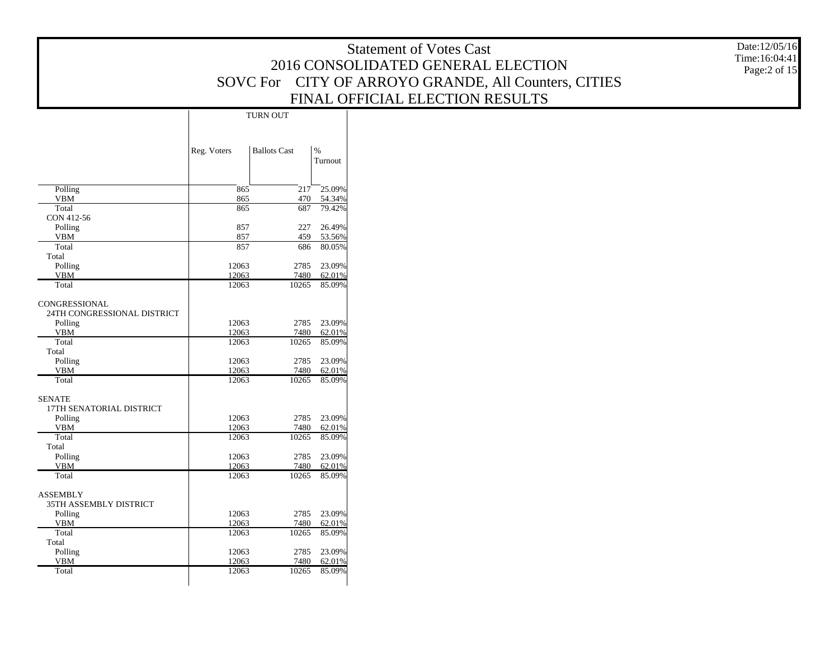|                                              |             |                     |                  | <b>Statement of Votes Cast</b>                       | Date:12/05/16<br>Time:16:04:41 |
|----------------------------------------------|-------------|---------------------|------------------|------------------------------------------------------|--------------------------------|
|                                              |             |                     |                  | 2016 CONSOLIDATED GENERAL ELECTION                   | Page:2 of 15                   |
|                                              |             |                     |                  | SOVC For CITY OF ARROYO GRANDE, All Counters, CITIES |                                |
|                                              |             |                     |                  |                                                      |                                |
|                                              |             |                     |                  | FINAL OFFICIAL ELECTION RESULTS                      |                                |
|                                              |             | TURN OUT            |                  |                                                      |                                |
|                                              |             |                     |                  |                                                      |                                |
|                                              |             |                     |                  |                                                      |                                |
|                                              | Reg. Voters | <b>Ballots Cast</b> | $\%$             |                                                      |                                |
|                                              |             |                     | Turnout          |                                                      |                                |
|                                              |             |                     |                  |                                                      |                                |
| Polling                                      | 865         | 217                 | 25.09%           |                                                      |                                |
| <b>VBM</b>                                   | 865<br>865  | 470<br>687          | 54.34%<br>79.42% |                                                      |                                |
| Total<br>CON 412-56                          |             |                     |                  |                                                      |                                |
| Polling                                      | 857         | 227                 | 26.49%           |                                                      |                                |
| <b>VBM</b>                                   | 857         | 459                 | 53.56%           |                                                      |                                |
| Total                                        | 857         | 686                 | 80.05%           |                                                      |                                |
| Total<br>Polling                             | 12063       | 2785                | 23.09%           |                                                      |                                |
| <b>VBM</b>                                   | 12063       | 7480                | 62.01%           |                                                      |                                |
| Total                                        | 12063       | 10265               | 85.09%           |                                                      |                                |
|                                              |             |                     |                  |                                                      |                                |
| CONGRESSIONAL<br>24TH CONGRESSIONAL DISTRICT |             |                     |                  |                                                      |                                |
| Polling                                      | 12063       |                     | 2785 23.09%      |                                                      |                                |
| <b>VBM</b>                                   | 12063       | 7480                | 62.01%           |                                                      |                                |
| Total                                        | 12063       | 10265               | 85.09%           |                                                      |                                |
| Total<br>Polling                             | 12063       |                     | 2785 23.09%      |                                                      |                                |
| <b>VBM</b>                                   | 12063       | 7480                | 62.01%           |                                                      |                                |
| Total                                        | 12063       |                     | 10265 85.09%     |                                                      |                                |
|                                              |             |                     |                  |                                                      |                                |
| <b>SENATE</b><br>17TH SENATORIAL DISTRICT    |             |                     |                  |                                                      |                                |
| Polling                                      | 12063       |                     | 2785 23.09%      |                                                      |                                |
| <b>VBM</b>                                   | 12063       | 7480                | 62.01%           |                                                      |                                |
| Total                                        | 12063       | 10265               | 85.09%           |                                                      |                                |
| Total<br>Polling                             | 12063       |                     | 2785 23.09%      |                                                      |                                |
| <b>VBM</b>                                   | 12063       | 7480                | 62.01%           |                                                      |                                |
| Total                                        | 12063       | 10265               | 85.09%           |                                                      |                                |
|                                              |             |                     |                  |                                                      |                                |
| <b>ASSEMBLY</b><br>35TH ASSEMBLY DISTRICT    |             |                     |                  |                                                      |                                |
| Polling                                      | 12063       |                     | 2785 23.09%      |                                                      |                                |
| <b>VBM</b>                                   | 12063       | 7480                | 62.01%           |                                                      |                                |
| Total                                        | 12063       | 10265               | 85.09%           |                                                      |                                |
| Total<br>Polling                             | 12063       | 2785                | 23.09%           |                                                      |                                |
| <b>VBM</b>                                   | 12063       | 7480                | 62.01%           |                                                      |                                |
| Total                                        | 12063       | 10265               | 85.09%           |                                                      |                                |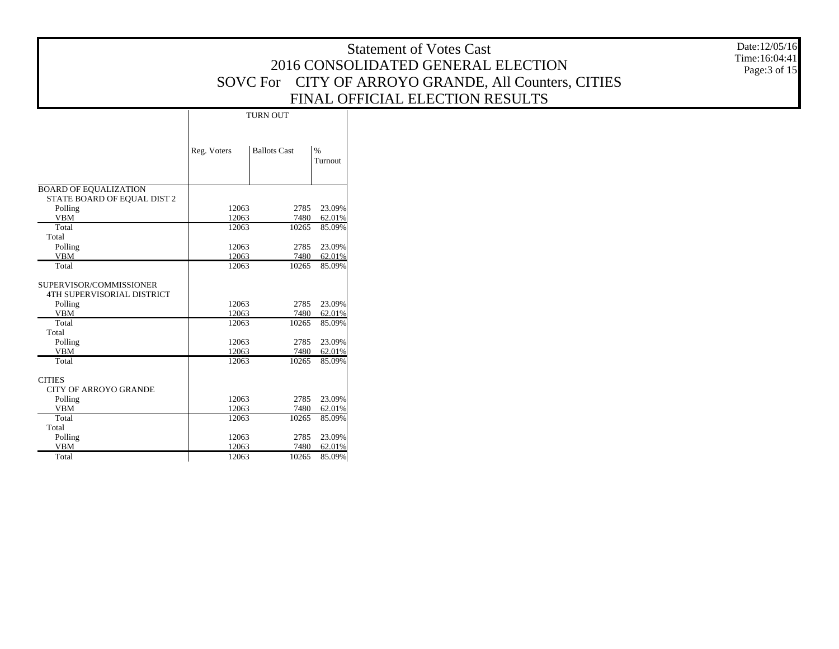|                              |                |                     |                  | Date:12/05/16<br><b>Statement of Votes Cast</b><br>Time:16:04:41<br>2016 CONSOLIDATED GENERAL ELECTION<br>Page: 3 of 15<br>SOVC For CITY OF ARROYO GRANDE, All Counters, CITIES |
|------------------------------|----------------|---------------------|------------------|---------------------------------------------------------------------------------------------------------------------------------------------------------------------------------|
|                              |                |                     |                  | FINAL OFFICIAL ELECTION RESULTS                                                                                                                                                 |
|                              |                | <b>TURN OUT</b>     |                  |                                                                                                                                                                                 |
|                              |                |                     |                  |                                                                                                                                                                                 |
|                              |                |                     |                  |                                                                                                                                                                                 |
|                              | Reg. Voters    | <b>Ballots Cast</b> | $\%$             |                                                                                                                                                                                 |
|                              |                |                     | Turnout          |                                                                                                                                                                                 |
|                              |                |                     |                  |                                                                                                                                                                                 |
| <b>BOARD OF EQUALIZATION</b> |                |                     |                  |                                                                                                                                                                                 |
| STATE BOARD OF EQUAL DIST 2  |                |                     |                  |                                                                                                                                                                                 |
| Polling                      | 12063          | 2785                | 23.09%           |                                                                                                                                                                                 |
| <b>VBM</b>                   | 12063          | 7480                | 62.01%           |                                                                                                                                                                                 |
| Total                        | 12063          | 10265               | 85.09%           |                                                                                                                                                                                 |
| Total                        |                |                     |                  |                                                                                                                                                                                 |
| Polling                      | 12063          |                     | 2785 23.09%      |                                                                                                                                                                                 |
| <b>VBM</b>                   | 12063          | 7480                | 62.01%           |                                                                                                                                                                                 |
| Total                        | 12063          |                     | 10265 85.09%     |                                                                                                                                                                                 |
| SUPERVISOR/COMMISSIONER      |                |                     |                  |                                                                                                                                                                                 |
| 4TH SUPERVISORIAL DISTRICT   |                |                     |                  |                                                                                                                                                                                 |
| Polling                      | 12063          |                     | 2785 23.09%      |                                                                                                                                                                                 |
| <b>VBM</b>                   | 12063          | 7480                | 62.01%           |                                                                                                                                                                                 |
| Total                        | 12063          | 10265               | 85.09%           |                                                                                                                                                                                 |
| Total                        |                |                     |                  |                                                                                                                                                                                 |
| Polling                      | 12063          | 2785                | 23.09%           |                                                                                                                                                                                 |
| <b>VBM</b>                   | 12063          | 7480                | 62.01%           |                                                                                                                                                                                 |
| Total                        | 12063          | 10265               | 85.09%           |                                                                                                                                                                                 |
|                              |                |                     |                  |                                                                                                                                                                                 |
| <b>CITIES</b>                |                |                     |                  |                                                                                                                                                                                 |
| <b>CITY OF ARROYO GRANDE</b> |                |                     |                  |                                                                                                                                                                                 |
| Polling                      | 12063          | 2785                | 23.09%           |                                                                                                                                                                                 |
| <b>VBM</b>                   | 12063          | 7480                | 62.01%           |                                                                                                                                                                                 |
| Total                        | 12063          | 10265               | 85.09%           |                                                                                                                                                                                 |
| Total                        |                |                     |                  |                                                                                                                                                                                 |
| Polling                      | 12063          | 2785                | 23.09%           |                                                                                                                                                                                 |
| <b>VBM</b>                   | 12063<br>12063 | 7480<br>10265       | 62.01%<br>85.09% |                                                                                                                                                                                 |
| Total                        |                |                     |                  |                                                                                                                                                                                 |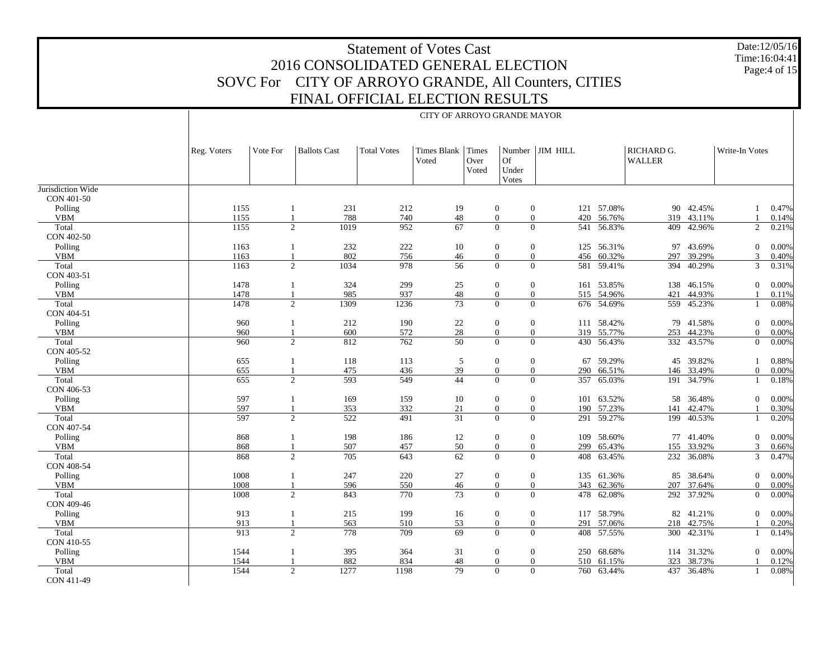Date:12/05/16 Time:16:04:41 Page:4 of 15

|                   |             | CITY OF ARROYO GRANDE MAYOR |                     |                    |                      |                        |                      |                     |            |                             |            |                |       |  |
|-------------------|-------------|-----------------------------|---------------------|--------------------|----------------------|------------------------|----------------------|---------------------|------------|-----------------------------|------------|----------------|-------|--|
|                   | Reg. Voters | Vote For                    | <b>Ballots Cast</b> | <b>Total Votes</b> | Times Blank<br>Voted | Times<br>Over<br>Voted | Of<br>Under<br>Votes | Number JIM HILL     |            | RICHARD G.<br><b>WALLER</b> |            | Write-In Votes |       |  |
| Jurisdiction Wide |             |                             |                     |                    |                      |                        |                      |                     |            |                             |            |                |       |  |
| CON 401-50        |             |                             |                     |                    |                      |                        |                      |                     |            |                             |            |                |       |  |
| Polling           | 1155        | 1                           | 231                 | 212                | 19                   |                        | $\boldsymbol{0}$     | $\mathbf{0}$        | 121 57.08% |                             | 90 42.45%  | 1              | 0.47% |  |
| <b>VBM</b>        | 1155        | 1                           | 788                 | 740                | 48                   |                        | $\mathbf{0}$         | $\mathbf{0}$        | 420 56.76% |                             | 319 43.11% |                | 0.14% |  |
| Total             | 1155        |                             | 2<br>1019           | 952                | 67                   |                        | $\theta$             | $\theta$            | 541 56.83% | 409                         | 42.96%     | 2              | 0.21% |  |
| CON 402-50        |             |                             |                     |                    |                      |                        |                      |                     |            |                             |            |                |       |  |
| Polling           | 1163        |                             | 232<br>1            | 222                | 10                   |                        | $\boldsymbol{0}$     | $\mathbf{0}$        | 125 56.31% |                             | 97 43.69%  | $\overline{0}$ | 0.00% |  |
| <b>VBM</b>        | 1163        |                             | 802                 | 756                | 46                   |                        | $\mathbf{0}$         | $\mathbf{0}$<br>456 | 60.32%     |                             | 297 39.29% | 3              | 0.40% |  |
| Total             | 1163        |                             | 2<br>1034           | 978                | 56                   |                        | $\mathbf{0}$         | $\overline{0}$      | 581 59.41% | 394                         | 40.29%     | 3              | 0.31% |  |
| CON 403-51        |             |                             |                     |                    |                      |                        |                      |                     |            |                             |            |                |       |  |
| Polling           | 1478        | 1                           | 324                 | 299                | 25                   |                        | $\boldsymbol{0}$     | $\mathbf{0}$        | 161 53.85% |                             | 138 46.15% | $\overline{0}$ | 0.00% |  |
| <b>VBM</b>        | 1478        |                             | 985                 | 937                | 48                   |                        | $\mathbf{0}$         | $\mathbf{0}$        | 515 54.96% | 421                         | 44.93%     |                | 0.11% |  |
| Total             | 1478        |                             | 2<br>1309           | 1236               | 73                   |                        | $\mathbf{0}$         | $\Omega$            | 676 54.69% |                             | 559 45.23% | 1              | 0.08% |  |
| CON 404-51        |             |                             |                     |                    |                      |                        |                      |                     |            |                             |            |                |       |  |
| Polling           | 960         | 1                           | 212                 | 190                | 22                   |                        | $\boldsymbol{0}$     | $\mathbf{0}$        | 111 58.42% |                             | 79 41.58%  | $\overline{0}$ | 0.00% |  |
| <b>VBM</b>        | 960         |                             | 600                 | 572                | 28                   |                        | $\mathbf{0}$         | $\mathbf{0}$        | 319 55.77% | 253                         | 44.23%     | $\overline{0}$ | 0.00% |  |
| Total             | 960         |                             | 2<br>812            | 762                | 50                   |                        | $\Omega$             | $\Omega$            | 430 56.43% |                             | 332 43.57% | $\overline{0}$ | 0.00% |  |
| CON 405-52        |             |                             |                     |                    |                      |                        |                      |                     |            |                             |            |                |       |  |
| Polling           | 655         |                             | 118<br>1            | 113                | 5                    |                        | $\boldsymbol{0}$     | $\mathbf{0}$<br>67  | 59.29%     | 45                          | 39.82%     | 1              | 0.88% |  |
| <b>VBM</b>        | 655         |                             | 475                 | 436                | 39                   |                        | $\mathbf{0}$         | $\mathbf{0}$<br>290 | 66.51%     |                             | 146 33.49% | $\overline{0}$ | 0.00% |  |
| Total             | 655         |                             | 2<br>593            | 549                | 44                   |                        | $\Omega$             | $\Omega$<br>357     | 65.03%     | 191                         | 34.79%     | 1              | 0.18% |  |
| CON 406-53        |             |                             |                     |                    |                      |                        |                      |                     |            |                             |            |                |       |  |
| Polling           | 597         | 1                           | 169                 | 159                | 10                   |                        | $\boldsymbol{0}$     | $\mathbf{0}$        | 101 63.52% | 58                          | 36.48%     | $\overline{0}$ | 0.00% |  |
| <b>VBM</b>        | 597         |                             | 353                 | 332                | 21                   |                        | $\mathbf{0}$         | $\mathbf{0}$<br>190 | 57.23%     | 141                         | 42.47%     |                | 0.30% |  |
| Total             | 597         |                             | 2<br>522            | 491                | 31                   |                        | $\Omega$             | $\theta$            | 291 59.27% |                             | 199 40.53% | 1              | 0.20% |  |
| CON 407-54        |             |                             |                     |                    |                      |                        |                      |                     |            |                             |            |                |       |  |
| Polling           | 868         | 1                           | 198                 | 186                | 12                   |                        | $\boldsymbol{0}$     | $\mathbf{0}$<br>109 | 58.60%     |                             | 77 41.40%  | $\overline{0}$ | 0.00% |  |
| <b>VBM</b>        | 868         |                             | 507                 | 457                | 50                   |                        | $\mathbf{0}$         | $\mathbf{0}$<br>299 | 65.43%     | 155                         | 33.92%     | 3              | 0.66% |  |
| Total             | 868         |                             | 2<br>705            | 643                | 62                   |                        | $\Omega$             | $\Omega$            | 408 63.45% |                             | 232 36.08% | 3              | 0.47% |  |
| CON 408-54        |             |                             |                     |                    |                      |                        |                      |                     |            |                             |            |                |       |  |
| Polling           | 1008        |                             | 247<br>1            | 220                | 27                   |                        | $\boldsymbol{0}$     | $\mathbf{0}$        | 135 61.36% | 85                          | 38.64%     | $\overline{0}$ | 0.00% |  |
| <b>VBM</b>        | 1008        |                             | 596                 | 550                | 46                   |                        | $\mathbf{0}$         | $\mathbf{0}$<br>343 | 62.36%     | 207                         | 37.64%     | $\overline{0}$ | 0.00% |  |
| Total             | 1008        |                             | 2<br>843            | 770                | 73                   |                        | $\Omega$             | $\theta$            | 478 62.08% |                             | 292 37.92% | $\overline{0}$ | 0.00% |  |
| CON 409-46        |             |                             |                     |                    |                      |                        |                      |                     |            |                             |            |                |       |  |
| Polling           | 913         | 1                           | 215                 | 199                | 16                   |                        | $\boldsymbol{0}$     | $\mathbf{0}$        | 117 58.79% |                             | 82 41.21%  | $\overline{0}$ | 0.00% |  |
| <b>VBM</b>        | 913         | 1                           | 563                 | 510                | 53                   |                        | $\mathbf{0}$         | $\mathbf{0}$        | 291 57.06% | 218                         | 42.75%     |                | 0.20% |  |
| Total             | 913         |                             | 2<br>778            | 709                | 69                   |                        | $\Omega$             | $\theta$            | 408 57.55% | 300                         | 42.31%     | 1              | 0.14% |  |
| CON 410-55        |             |                             |                     |                    |                      |                        |                      |                     |            |                             |            |                |       |  |
| Polling           | 1544        | 1                           | 395                 | 364                | 31                   |                        | $\boldsymbol{0}$     | $\mathbf{0}$<br>250 | 68.68%     |                             | 114 31.32% | $\mathbf{0}$   | 0.00% |  |
| <b>VBM</b>        | 1544        |                             | 882                 | 834                | 48                   |                        | $\boldsymbol{0}$     | $\mathbf{0}$<br>510 | 61.15%     | 323                         | 38.73%     |                | 0.12% |  |
| Total             | 1544        |                             | 2<br>1277           | 1198               | 79                   |                        | $\theta$             | $\Omega$            | 760 63.44% |                             | 437 36.48% | 1              | 0.08% |  |
| CON 411-49        |             |                             |                     |                    |                      |                        |                      |                     |            |                             |            |                |       |  |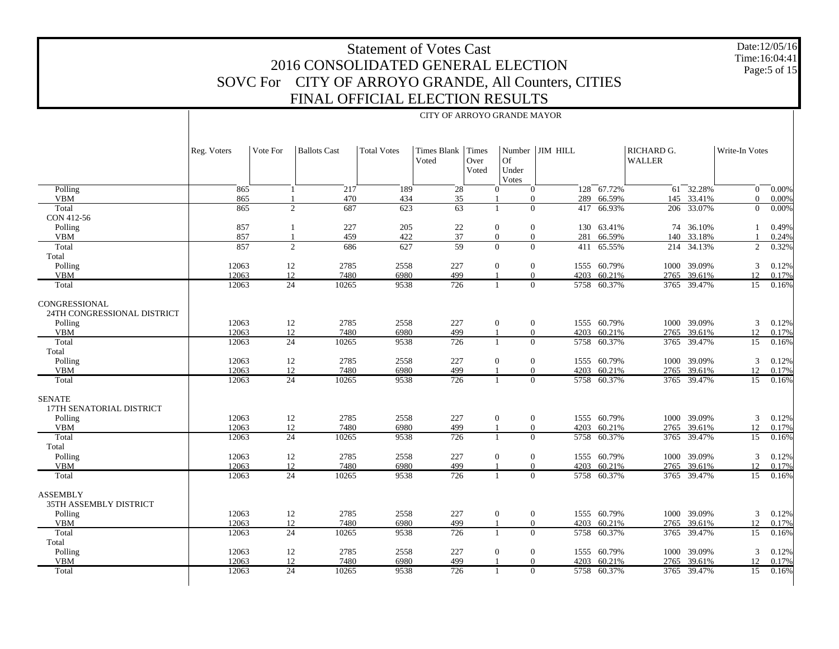Date:12/05/16 Time:16:04:41Page:5 of 15

|                                              | CITY OF ARROYO GRANDE MAYOR |                 |                     |                    |                             |                        |                      |                        |             |                             |             |                 |                     |  |
|----------------------------------------------|-----------------------------|-----------------|---------------------|--------------------|-----------------------------|------------------------|----------------------|------------------------|-------------|-----------------------------|-------------|-----------------|---------------------|--|
|                                              | Reg. Voters                 | Vote For        | <b>Ballots Cast</b> | <b>Total Votes</b> | <b>Times Blank</b><br>Voted | Times<br>Over<br>Voted | Of<br>Under<br>Votes | Number JIM HILL        |             | RICHARD G.<br><b>WALLER</b> |             | Write-In Votes  |                     |  |
| Polling                                      | 865                         | 1               | 217                 | 189                | $\sqrt{28}$                 |                        | $\mathbf{0}$         | $\overline{0}$         | 128 67.72%  | 61                          | 32.28%      | $\overline{0}$  | $\frac{-0.00\%}{2}$ |  |
| <b>VBM</b>                                   | 865                         |                 | 470                 | 434                | 35                          |                        |                      | $\mathbf{0}$<br>289    | 66.59%      |                             | 145 33.41%  | $\Omega$        | 0.00%               |  |
| Total                                        | 865                         |                 | 2<br>687            | 623                | 63                          |                        | $\mathbf{1}$         | $\Omega$<br>417        | 66.93%      |                             | 206 33.07%  | $\overline{0}$  | 0.00%               |  |
| CON 412-56                                   |                             |                 |                     |                    |                             |                        |                      |                        |             |                             |             |                 |                     |  |
| Polling                                      | 857                         |                 | 227                 | 205                | 22                          |                        | $\mathbf{0}$         | $\mathbf{0}$<br>130    | 63.41%      | 74                          | 36.10%      |                 | 0.49%               |  |
| <b>VBM</b>                                   | 857                         |                 | 459                 | 422                | 37                          |                        | $\overline{0}$       | $\overline{0}$<br>281  | 66.59%      | 140                         | 33.18%      |                 | 0.24%               |  |
| Total                                        | 857                         |                 | 2<br>686            | 627                | $\overline{59}$             |                        | $\Omega$             | $\Omega$<br>411        | 65.55%      | 214                         | 34.13%      | 2               | 0.32%               |  |
| Total                                        |                             |                 |                     |                    |                             |                        |                      |                        |             |                             |             |                 |                     |  |
| Polling                                      | 12063                       | 12              | 2785                | 2558               | 227                         |                        | $\theta$             | $\overline{0}$         | 1555 60.79% |                             | 1000 39.09% | 3               | 0.12%               |  |
| <b>VBM</b>                                   | 12063                       | 12              | 7480                | 6980               | 499                         |                        |                      | $\overline{0}$<br>4203 | 60.21%      | 2765                        | 39.61%      | 12              | 0.17%               |  |
| Total                                        | 12063                       | 24              | 10265               | 9538               | 726                         |                        |                      | $\overline{0}$         | 5758 60.37% |                             | 3765 39.47% | 15              | 0.16%               |  |
| CONGRESSIONAL<br>24TH CONGRESSIONAL DISTRICT |                             |                 |                     |                    |                             |                        |                      |                        |             |                             |             |                 |                     |  |
| Polling                                      | 12063                       | 12              | 2785                | 2558               | 227                         |                        | $\mathbf{0}$         | $\mathbf{0}$           | 1555 60.79% |                             | 1000 39.09% | 3               | 0.12%               |  |
| <b>VBM</b>                                   | 12063                       | 12              | 7480                | 6980               | 499                         |                        |                      | $\overline{0}$<br>4203 | 60.21%      |                             | 2765 39.61% | 12              | 0.17%               |  |
| Total                                        | 12063                       | $\overline{24}$ | 10265               | 9538               | 726                         |                        | $\overline{1}$       | $\Omega$               | 5758 60.37% |                             | 3765 39.47% | 15              | 0.16%               |  |
| Total                                        |                             |                 |                     |                    |                             |                        |                      |                        |             |                             |             |                 |                     |  |
| Polling                                      | 12063                       | 12              | 2785                | 2558               | 227                         |                        | $\mathbf{0}$         | $\overline{0}$         | 1555 60.79% |                             | 1000 39.09% | 3               | 0.12%               |  |
| <b>VBM</b>                                   | 12063                       | 12              | 7480                | 6980               | 499                         |                        |                      | $\Omega$<br>4203       | 60.21%      | 2765                        | 39.61%      | 12              | 0.17%               |  |
| Total                                        | 12063                       | 24              | 10265               | 9538               | 726                         |                        | 1                    | $\Omega$               | 5758 60.37% |                             | 3765 39.47% | 15              | 0.16%               |  |
| <b>SENATE</b><br>17TH SENATORIAL DISTRICT    |                             |                 |                     |                    |                             |                        |                      |                        |             |                             |             |                 |                     |  |
| Polling                                      | 12063                       | 12              | 2785                | 2558               | 227                         |                        | $\mathbf{0}$         | $\overline{0}$         | 1555 60.79% |                             | 1000 39.09% | 3               | 0.12%               |  |
| <b>VBM</b>                                   | 12063                       | 12              | 7480                | 6980               | 499                         |                        |                      | $\overline{0}$<br>4203 | 60.21%      |                             | 2765 39.61% | 12              | 0.17%               |  |
| Total                                        | 12063                       | 24              | 10265               | 9538               | 726                         |                        |                      | $\Omega$               | 5758 60.37% |                             | 3765 39.47% | 15              | 0.16%               |  |
| Total                                        |                             |                 |                     |                    |                             |                        |                      |                        |             |                             |             |                 |                     |  |
| Polling                                      | 12063                       | 12              | 2785                | 2558               | 227                         |                        | $\overline{0}$       | $\overline{0}$         | 1555 60.79% |                             | 1000 39.09% | 3               | 0.12%               |  |
| <b>VBM</b>                                   | 12063                       | 12              | 7480                | 6980               | 499                         |                        |                      | $\overline{0}$<br>4203 | 60.21%      |                             | 2765 39.61% | 12              | 0.17%               |  |
| Total                                        | 12063                       | 24              | 10265               | 9538               | $\overline{726}$            |                        |                      | $\Omega$               | 5758 60.37% |                             | 3765 39.47% | 15              | 0.16%               |  |
| <b>ASSEMBLY</b><br>35TH ASSEMBLY DISTRICT    |                             |                 |                     |                    |                             |                        |                      |                        |             |                             |             |                 |                     |  |
| Polling                                      | 12063                       | 12              | 2785                | 2558               | 227                         |                        | $\mathbf{0}$         | $\overline{0}$         | 1555 60.79% |                             | 1000 39.09% | 3               | 0.12%               |  |
| <b>VBM</b>                                   | 12063                       | 12              | 7480                | 6980               | 499                         |                        |                      | $\overline{0}$<br>4203 | 60.21%      | 2765                        | 39.61%      | 12              | 0.17%               |  |
| Total                                        | 12063                       | $\overline{24}$ | 10265               | 9538               | 726                         |                        | -1                   | $\overline{0}$<br>5758 | 60.37%      | 3765                        | 39.47%      | 15              | 0.16%               |  |
| Total                                        |                             |                 |                     |                    |                             |                        |                      |                        |             |                             |             |                 |                     |  |
| Polling                                      | 12063                       | 12              | 2785                | 2558               | 227                         |                        | $\mathbf{0}$         | $\mathbf{0}$           | 1555 60.79% |                             | 1000 39.09% | 3               | 0.12%               |  |
| <b>VBM</b>                                   | 12063                       | 12              | 7480                | 6980               | 499                         |                        |                      | $\Omega$<br>4203       | 60.21%      |                             | 2765 39.61% | 12              | 0.17%               |  |
| Total                                        | 12063                       | $\overline{24}$ | 10265               | 9538               | 726                         |                        |                      | $\Omega$               | 5758 60.37% |                             | 3765 39.47% | $\overline{15}$ | 0.16%               |  |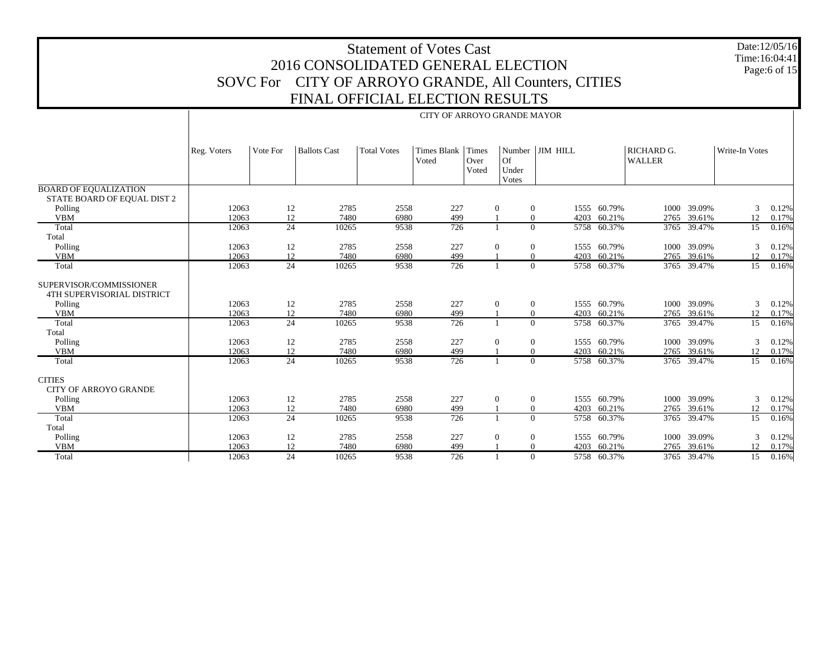|                                                       |                                                                                                                                                                                                                 |                 | 2016 CONSOLIDATED GENERAL ELECTION<br>SOVC For CITY OF ARROYO GRANDE, All Counters, CITIES<br>FINAL OFFICIAL ELECTION RESULTS | <b>Statement of Votes Cast</b> | CITY OF ARROYO GRANDE MAYOR |  |                |                            |                            |      |                            |                 | Date:12/05/16<br>Time:16:04:41<br>Page:6 of 15 |
|-------------------------------------------------------|-----------------------------------------------------------------------------------------------------------------------------------------------------------------------------------------------------------------|-----------------|-------------------------------------------------------------------------------------------------------------------------------|--------------------------------|-----------------------------|--|----------------|----------------------------|----------------------------|------|----------------------------|-----------------|------------------------------------------------|
|                                                       | Number JIM HILL<br>RICHARD G.<br><b>Ballots Cast</b><br><b>Total Votes</b><br>Times Blank Times<br>Write-In Votes<br>Reg. Voters<br>Vote For<br>Of<br>Voted<br>Over<br><b>WALLER</b><br>Under<br>Voted<br>Votes |                 |                                                                                                                               |                                |                             |  |                |                            |                            |      |                            |                 |                                                |
| <b>BOARD OF EQUALIZATION</b>                          |                                                                                                                                                                                                                 |                 |                                                                                                                               |                                |                             |  |                |                            |                            |      |                            |                 |                                                |
| STATE BOARD OF EQUAL DIST 2                           | 12063                                                                                                                                                                                                           |                 |                                                                                                                               |                                |                             |  |                |                            | 1555 60.79%                |      | 1000 39.09%                |                 |                                                |
| Polling<br><b>VBM</b>                                 | 12063                                                                                                                                                                                                           | 12<br>12        | 2785<br>7480                                                                                                                  | 2558<br>6980                   | 227<br>499                  |  | $\mathbf{0}$   | $\overline{0}$<br>$\Omega$ | 4203 60.21%                |      | 2765 39.61%                | 3<br>12         | 0.12%<br>0.17%                                 |
| Total                                                 | 12063                                                                                                                                                                                                           | 24              | 10265                                                                                                                         | 9538                           | 726                         |  | $\mathbf{1}$   | $\Omega$                   | 5758 60.37%                |      | 3765 39.47%                | 15              | 0.16%                                          |
| Total                                                 |                                                                                                                                                                                                                 |                 |                                                                                                                               |                                |                             |  |                |                            |                            |      |                            |                 |                                                |
| Polling                                               | 12063                                                                                                                                                                                                           | 12              | 2785                                                                                                                          | 2558                           | 227                         |  | $\theta$       | $\overline{0}$             | 1555 60.79%                | 1000 | 39.09%                     | 3               | 0.12%                                          |
| <b>VBM</b>                                            | 12063                                                                                                                                                                                                           | 12              | 7480                                                                                                                          | 6980                           | 499                         |  |                | $\Omega$                   | 4203 60.21%                |      | 2765 39.61%                | 12              | 0.17%                                          |
| Total                                                 | 12063                                                                                                                                                                                                           | $\overline{24}$ | 10265                                                                                                                         | 9538                           | 726                         |  | $\mathbf{1}$   | $\Omega$                   | 5758 60.37%                |      | 3765 39.47%                | 15              | 0.16%                                          |
| SUPERVISOR/COMMISSIONER<br>4TH SUPERVISORIAL DISTRICT |                                                                                                                                                                                                                 |                 |                                                                                                                               |                                |                             |  |                |                            |                            |      |                            |                 |                                                |
| Polling                                               | 12063                                                                                                                                                                                                           | 12              | 2785                                                                                                                          | 2558                           | 227                         |  | $\mathbf{0}$   | $\overline{0}$             | 1555 60.79%                |      | 1000 39.09%                | 3               | 0.12%                                          |
| <b>VBM</b>                                            | 12063                                                                                                                                                                                                           | 12              | 7480                                                                                                                          | 6980                           | 499                         |  |                | $\Omega$<br>4203           | 60.21%                     | 2765 | 39.61%                     | 12              | 0.17%                                          |
| Total                                                 | 12063                                                                                                                                                                                                           | 24              | 10265                                                                                                                         | 9538                           | 726                         |  | $\mathbf{1}$   | $\Omega$                   | 5758 60.37%                |      | 3765 39.47%                | 15              | 0.16%                                          |
| Total                                                 |                                                                                                                                                                                                                 |                 |                                                                                                                               |                                |                             |  |                |                            |                            |      |                            |                 |                                                |
| Polling                                               | 12063                                                                                                                                                                                                           | 12              | 2785                                                                                                                          | 2558                           | 227                         |  | $\Omega$       | $\overline{0}$             | 1555 60.79%                | 1000 | 39.09%                     | 3               | 0.12%                                          |
| <b>VBM</b><br>Total                                   | 12063<br>12063                                                                                                                                                                                                  | 12<br>24        | 7480<br>10265                                                                                                                 | 6980<br>9538                   | 499<br>726                  |  | -1             | $\Omega$<br>$\Omega$       | 4203 60.21%<br>5758 60.37% |      | 2765 39.61%<br>3765 39.47% | 12<br>15        | 0.17%<br>0.16%                                 |
|                                                       |                                                                                                                                                                                                                 |                 |                                                                                                                               |                                |                             |  |                |                            |                            |      |                            |                 |                                                |
| <b>CITIES</b><br><b>CITY OF ARROYO GRANDE</b>         |                                                                                                                                                                                                                 |                 |                                                                                                                               |                                |                             |  |                |                            |                            |      |                            |                 |                                                |
| Polling                                               | 12063                                                                                                                                                                                                           | 12              | 2785                                                                                                                          | 2558                           | 227                         |  | $\theta$       | $\overline{0}$             | 1555 60.79%                |      | 1000 39.09%                | 3               | 0.12%                                          |
| <b>VBM</b>                                            | 12063                                                                                                                                                                                                           | 12              | 7480                                                                                                                          | 6980                           | 499                         |  | $\mathbf{1}$   | $\Omega$                   | 4203 60.21%                | 2765 | 39.61%                     | 12              | 0.17%                                          |
| Total                                                 | 12063                                                                                                                                                                                                           | 24              | 10265                                                                                                                         | 9538                           | 726                         |  | $\overline{1}$ | $\Omega$                   | 5758 60.37%                |      | 3765 39.47%                | 15              | 0.16%                                          |
| Total                                                 |                                                                                                                                                                                                                 |                 |                                                                                                                               |                                |                             |  |                |                            |                            |      |                            |                 |                                                |
| Polling                                               | 12063                                                                                                                                                                                                           | 12              | 2785                                                                                                                          | 2558                           | 227                         |  | $\Omega$       | $\Omega$                   | 1555 60.79%                | 1000 | 39.09%                     | 3               | 0.12%                                          |
| <b>VBM</b>                                            | 12063                                                                                                                                                                                                           | 12              | 7480                                                                                                                          | 6980                           | 499                         |  |                | $\Omega$                   | 4203 60.21%                |      | 2765 39.61%                | 12              | 0.17%                                          |
| Total                                                 | 12063                                                                                                                                                                                                           | $\overline{24}$ | 10265                                                                                                                         | 9538                           | $\overline{726}$            |  |                | $\Omega$                   | 5758 60.37%                |      | 3765 39.47%                | $\overline{15}$ | 0.16%                                          |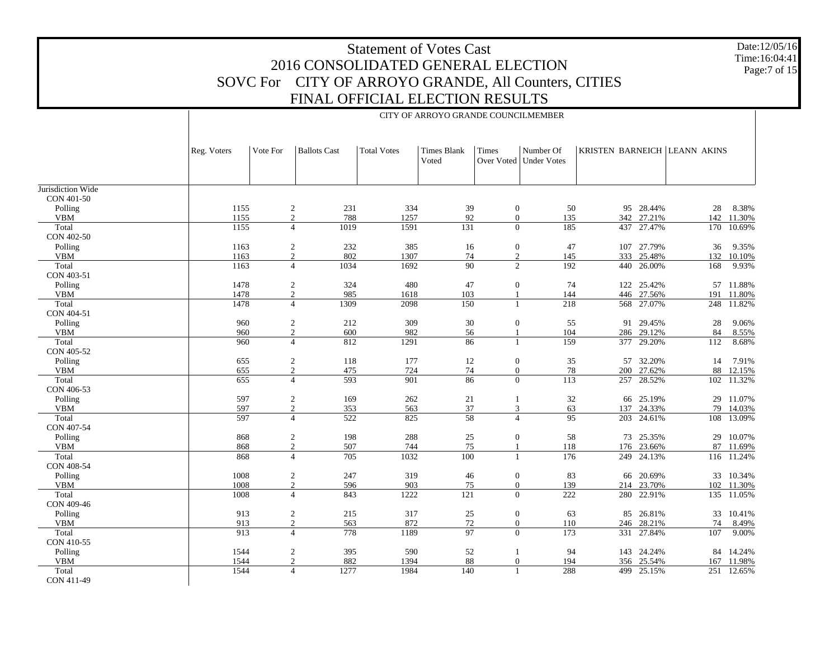Date:12/05/16 Time:16:04:41Page:7 of 15

| <b>Ballots Cast</b><br><b>Total Votes</b><br><b>Times Blank</b><br><b>Times</b><br>Number Of<br>KRISTEN BARNEICH LEANN AKINS<br>Reg. Voters<br>Vote For<br>Voted<br>Over Voted   Under Votes<br>Jurisdiction Wide<br>CON 401-50<br>1155<br>$\overline{c}$<br>231<br>334<br>39<br>$\boldsymbol{0}$<br>50<br>95 28.44%<br>8.38%<br>Polling<br>28<br>$\overline{c}$<br>788<br>1257<br>92<br>$\boldsymbol{0}$<br>342 27.21%<br><b>VBM</b><br>1155<br>135<br>142<br>11.30%<br>1155<br>1019<br>1591<br>131<br>$\Omega$<br>185<br>437 27.47%<br>Total<br>$\overline{4}$<br>170 10.69%<br>CON 402-50<br>Polling<br>1163<br>$\overline{c}$<br>232<br>385<br>16<br>$\boldsymbol{0}$<br>47<br>107 27.79%<br>36<br>9.35%<br>$\overline{c}$<br>802<br>1307<br>$\mathfrak{2}$<br><b>VBM</b><br>1163<br>74<br>145<br>333<br>25.48%<br>132<br>10.10%<br>90<br>$\overline{c}$<br>192<br>Total<br>1163<br>1034<br>1692<br>26.00%<br>9.93%<br>$\overline{4}$<br>440<br>168<br>CON 403-51<br>Polling<br>1478<br>2<br>324<br>480<br>47<br>$\mathbf{0}$<br>74<br>122 25.42%<br>57 11.88%<br>$\overline{c}$<br>1478<br>985<br>103<br>144<br>446 27.56%<br><b>VBM</b><br>1618<br>191<br>11.80%<br>$\mathbf{1}$<br>1309<br>568 27.07%<br>Total<br>1478<br>2098<br>150<br>218<br>$\overline{4}$<br>248 11.82%<br>$\mathbf{1}$<br>CON 404-51<br>960<br>$\overline{c}$<br>212<br>309<br>30<br>$\boldsymbol{0}$<br>55<br>91 29.45%<br>28<br>Polling<br>9.06%<br>$\overline{2}$<br>982<br>29.12%<br><b>VBM</b><br>960<br>600<br>56<br>104<br>286<br>84<br>8.55%<br>-1<br>$\overline{4}$<br>812<br>1291<br>159<br>377 29.20%<br>Total<br>960<br>86<br>8.68%<br>$\mathbf{1}$<br>112<br>CON 405-52<br>Polling<br>655<br>$\overline{c}$<br>118<br>177<br>12<br>$\boldsymbol{0}$<br>35<br>57<br>32.20%<br>7.91%<br>14<br>$\overline{c}$<br>$\boldsymbol{0}$<br>27.62%<br><b>VBM</b><br>655<br>475<br>724<br>74<br>78<br>200<br>88<br>12.15%<br>593<br>86<br>$\Omega$<br>Total<br>655<br>$\overline{4}$<br>901<br>113<br>28.52%<br>257<br>102<br>11.32%<br>CON 406-53<br>$\overline{c}$<br>32<br>Polling<br>597<br>169<br>262<br>21<br>25.19%<br>11.07%<br>66<br>29<br>1<br>$\overline{2}$<br>37<br>597<br>353<br>563<br>3<br>63<br>24.33%<br>79<br><b>VBM</b><br>137<br>14.03%<br>597<br>522<br>58<br>$\overline{4}$<br>95<br>203 24.61%<br>Total<br>$\overline{4}$<br>825<br>13.09%<br>108<br>CON 407-54<br>Polling<br>868<br>$\overline{c}$<br>198<br>288<br>25<br>$\mathbf{0}$<br>58<br>73<br>25.35%<br>10.07%<br>29<br>$\overline{c}$<br>75<br><b>VBM</b><br>868<br>507<br>744<br>118<br>176 23.66%<br>87<br>11.69%<br>868<br>705<br>1032<br>100<br>24.13%<br>Total<br>$\overline{4}$<br>$\mathbf{1}$<br>176<br>249<br>116 11.24%<br>CON 408-54<br>Polling<br>1008<br>$\overline{c}$<br>247<br>319<br>46<br>$\mathbf{0}$<br>83<br>20.69%<br>33<br>10.34%<br>66<br>$\overline{c}$<br>903<br>75<br>$\boldsymbol{0}$<br><b>VBM</b><br>1008<br>596<br>139<br>214 23.70%<br>102 11.30%<br>1222<br>$\overline{121}$<br>$\theta$<br>Total<br>1008<br>843<br>222<br>280<br>22.91%<br>$\overline{4}$<br>135 11.05%<br>CON 409-46<br>$\boldsymbol{0}$<br>Polling<br>913<br>2<br>215<br>317<br>25<br>63<br>85<br>26.81%<br>10.41%<br>33<br>913<br>$\overline{2}$<br>872<br>72<br>$\overline{0}$<br><b>VBM</b><br>563<br>110<br>28.21%<br>246<br>74<br>8.49%<br>913<br>778<br>1189<br>97<br>$\overline{0}$<br>27.84%<br>Total<br>173<br>331<br>107<br>9.00%<br>4<br>CON 410-55<br>Polling<br>1544<br>$\overline{c}$<br>395<br>590<br>52<br>94<br>143 24.24%<br>$\mathbf{1}$<br>84<br>14.24%<br><b>VBM</b><br>$\overline{c}$<br>882<br>1394<br>88<br>$\boldsymbol{0}$<br>194<br>1544<br>356<br>25.54%<br>11.98%<br>167<br>1544<br>$\overline{4}$<br>1277<br>1984<br>140<br>288<br>25.15%<br>Total<br>499<br>251<br>12.65%<br>$\mathbf{1}$<br>CON 411-49 |  | CITY OF ARROYO GRANDE COUNCILMEMBER |  |  |  |  |  |  |  |  |  |  |  |  |  |
|-------------------------------------------------------------------------------------------------------------------------------------------------------------------------------------------------------------------------------------------------------------------------------------------------------------------------------------------------------------------------------------------------------------------------------------------------------------------------------------------------------------------------------------------------------------------------------------------------------------------------------------------------------------------------------------------------------------------------------------------------------------------------------------------------------------------------------------------------------------------------------------------------------------------------------------------------------------------------------------------------------------------------------------------------------------------------------------------------------------------------------------------------------------------------------------------------------------------------------------------------------------------------------------------------------------------------------------------------------------------------------------------------------------------------------------------------------------------------------------------------------------------------------------------------------------------------------------------------------------------------------------------------------------------------------------------------------------------------------------------------------------------------------------------------------------------------------------------------------------------------------------------------------------------------------------------------------------------------------------------------------------------------------------------------------------------------------------------------------------------------------------------------------------------------------------------------------------------------------------------------------------------------------------------------------------------------------------------------------------------------------------------------------------------------------------------------------------------------------------------------------------------------------------------------------------------------------------------------------------------------------------------------------------------------------------------------------------------------------------------------------------------------------------------------------------------------------------------------------------------------------------------------------------------------------------------------------------------------------------------------------------------------------------------------------------------------------------------------------------------------------------------------------------------------------------------------------------------------------------------------------------------------------------------------------------------------------------------------------------------------------------------------------------------------------------------------------------------------------------------------------------------------------------------------------------------------------------------------------------------------------------------------------------------------------------------------------------------------------------------------------------------------------------------------------------|--|-------------------------------------|--|--|--|--|--|--|--|--|--|--|--|--|--|
|                                                                                                                                                                                                                                                                                                                                                                                                                                                                                                                                                                                                                                                                                                                                                                                                                                                                                                                                                                                                                                                                                                                                                                                                                                                                                                                                                                                                                                                                                                                                                                                                                                                                                                                                                                                                                                                                                                                                                                                                                                                                                                                                                                                                                                                                                                                                                                                                                                                                                                                                                                                                                                                                                                                                                                                                                                                                                                                                                                                                                                                                                                                                                                                                                                                                                                                                                                                                                                                                                                                                                                                                                                                                                                                                                                                                             |  |                                     |  |  |  |  |  |  |  |  |  |  |  |  |  |
|                                                                                                                                                                                                                                                                                                                                                                                                                                                                                                                                                                                                                                                                                                                                                                                                                                                                                                                                                                                                                                                                                                                                                                                                                                                                                                                                                                                                                                                                                                                                                                                                                                                                                                                                                                                                                                                                                                                                                                                                                                                                                                                                                                                                                                                                                                                                                                                                                                                                                                                                                                                                                                                                                                                                                                                                                                                                                                                                                                                                                                                                                                                                                                                                                                                                                                                                                                                                                                                                                                                                                                                                                                                                                                                                                                                                             |  |                                     |  |  |  |  |  |  |  |  |  |  |  |  |  |
|                                                                                                                                                                                                                                                                                                                                                                                                                                                                                                                                                                                                                                                                                                                                                                                                                                                                                                                                                                                                                                                                                                                                                                                                                                                                                                                                                                                                                                                                                                                                                                                                                                                                                                                                                                                                                                                                                                                                                                                                                                                                                                                                                                                                                                                                                                                                                                                                                                                                                                                                                                                                                                                                                                                                                                                                                                                                                                                                                                                                                                                                                                                                                                                                                                                                                                                                                                                                                                                                                                                                                                                                                                                                                                                                                                                                             |  |                                     |  |  |  |  |  |  |  |  |  |  |  |  |  |
|                                                                                                                                                                                                                                                                                                                                                                                                                                                                                                                                                                                                                                                                                                                                                                                                                                                                                                                                                                                                                                                                                                                                                                                                                                                                                                                                                                                                                                                                                                                                                                                                                                                                                                                                                                                                                                                                                                                                                                                                                                                                                                                                                                                                                                                                                                                                                                                                                                                                                                                                                                                                                                                                                                                                                                                                                                                                                                                                                                                                                                                                                                                                                                                                                                                                                                                                                                                                                                                                                                                                                                                                                                                                                                                                                                                                             |  |                                     |  |  |  |  |  |  |  |  |  |  |  |  |  |
|                                                                                                                                                                                                                                                                                                                                                                                                                                                                                                                                                                                                                                                                                                                                                                                                                                                                                                                                                                                                                                                                                                                                                                                                                                                                                                                                                                                                                                                                                                                                                                                                                                                                                                                                                                                                                                                                                                                                                                                                                                                                                                                                                                                                                                                                                                                                                                                                                                                                                                                                                                                                                                                                                                                                                                                                                                                                                                                                                                                                                                                                                                                                                                                                                                                                                                                                                                                                                                                                                                                                                                                                                                                                                                                                                                                                             |  |                                     |  |  |  |  |  |  |  |  |  |  |  |  |  |
|                                                                                                                                                                                                                                                                                                                                                                                                                                                                                                                                                                                                                                                                                                                                                                                                                                                                                                                                                                                                                                                                                                                                                                                                                                                                                                                                                                                                                                                                                                                                                                                                                                                                                                                                                                                                                                                                                                                                                                                                                                                                                                                                                                                                                                                                                                                                                                                                                                                                                                                                                                                                                                                                                                                                                                                                                                                                                                                                                                                                                                                                                                                                                                                                                                                                                                                                                                                                                                                                                                                                                                                                                                                                                                                                                                                                             |  |                                     |  |  |  |  |  |  |  |  |  |  |  |  |  |
|                                                                                                                                                                                                                                                                                                                                                                                                                                                                                                                                                                                                                                                                                                                                                                                                                                                                                                                                                                                                                                                                                                                                                                                                                                                                                                                                                                                                                                                                                                                                                                                                                                                                                                                                                                                                                                                                                                                                                                                                                                                                                                                                                                                                                                                                                                                                                                                                                                                                                                                                                                                                                                                                                                                                                                                                                                                                                                                                                                                                                                                                                                                                                                                                                                                                                                                                                                                                                                                                                                                                                                                                                                                                                                                                                                                                             |  |                                     |  |  |  |  |  |  |  |  |  |  |  |  |  |
|                                                                                                                                                                                                                                                                                                                                                                                                                                                                                                                                                                                                                                                                                                                                                                                                                                                                                                                                                                                                                                                                                                                                                                                                                                                                                                                                                                                                                                                                                                                                                                                                                                                                                                                                                                                                                                                                                                                                                                                                                                                                                                                                                                                                                                                                                                                                                                                                                                                                                                                                                                                                                                                                                                                                                                                                                                                                                                                                                                                                                                                                                                                                                                                                                                                                                                                                                                                                                                                                                                                                                                                                                                                                                                                                                                                                             |  |                                     |  |  |  |  |  |  |  |  |  |  |  |  |  |
|                                                                                                                                                                                                                                                                                                                                                                                                                                                                                                                                                                                                                                                                                                                                                                                                                                                                                                                                                                                                                                                                                                                                                                                                                                                                                                                                                                                                                                                                                                                                                                                                                                                                                                                                                                                                                                                                                                                                                                                                                                                                                                                                                                                                                                                                                                                                                                                                                                                                                                                                                                                                                                                                                                                                                                                                                                                                                                                                                                                                                                                                                                                                                                                                                                                                                                                                                                                                                                                                                                                                                                                                                                                                                                                                                                                                             |  |                                     |  |  |  |  |  |  |  |  |  |  |  |  |  |
|                                                                                                                                                                                                                                                                                                                                                                                                                                                                                                                                                                                                                                                                                                                                                                                                                                                                                                                                                                                                                                                                                                                                                                                                                                                                                                                                                                                                                                                                                                                                                                                                                                                                                                                                                                                                                                                                                                                                                                                                                                                                                                                                                                                                                                                                                                                                                                                                                                                                                                                                                                                                                                                                                                                                                                                                                                                                                                                                                                                                                                                                                                                                                                                                                                                                                                                                                                                                                                                                                                                                                                                                                                                                                                                                                                                                             |  |                                     |  |  |  |  |  |  |  |  |  |  |  |  |  |
|                                                                                                                                                                                                                                                                                                                                                                                                                                                                                                                                                                                                                                                                                                                                                                                                                                                                                                                                                                                                                                                                                                                                                                                                                                                                                                                                                                                                                                                                                                                                                                                                                                                                                                                                                                                                                                                                                                                                                                                                                                                                                                                                                                                                                                                                                                                                                                                                                                                                                                                                                                                                                                                                                                                                                                                                                                                                                                                                                                                                                                                                                                                                                                                                                                                                                                                                                                                                                                                                                                                                                                                                                                                                                                                                                                                                             |  |                                     |  |  |  |  |  |  |  |  |  |  |  |  |  |
|                                                                                                                                                                                                                                                                                                                                                                                                                                                                                                                                                                                                                                                                                                                                                                                                                                                                                                                                                                                                                                                                                                                                                                                                                                                                                                                                                                                                                                                                                                                                                                                                                                                                                                                                                                                                                                                                                                                                                                                                                                                                                                                                                                                                                                                                                                                                                                                                                                                                                                                                                                                                                                                                                                                                                                                                                                                                                                                                                                                                                                                                                                                                                                                                                                                                                                                                                                                                                                                                                                                                                                                                                                                                                                                                                                                                             |  |                                     |  |  |  |  |  |  |  |  |  |  |  |  |  |
|                                                                                                                                                                                                                                                                                                                                                                                                                                                                                                                                                                                                                                                                                                                                                                                                                                                                                                                                                                                                                                                                                                                                                                                                                                                                                                                                                                                                                                                                                                                                                                                                                                                                                                                                                                                                                                                                                                                                                                                                                                                                                                                                                                                                                                                                                                                                                                                                                                                                                                                                                                                                                                                                                                                                                                                                                                                                                                                                                                                                                                                                                                                                                                                                                                                                                                                                                                                                                                                                                                                                                                                                                                                                                                                                                                                                             |  |                                     |  |  |  |  |  |  |  |  |  |  |  |  |  |
|                                                                                                                                                                                                                                                                                                                                                                                                                                                                                                                                                                                                                                                                                                                                                                                                                                                                                                                                                                                                                                                                                                                                                                                                                                                                                                                                                                                                                                                                                                                                                                                                                                                                                                                                                                                                                                                                                                                                                                                                                                                                                                                                                                                                                                                                                                                                                                                                                                                                                                                                                                                                                                                                                                                                                                                                                                                                                                                                                                                                                                                                                                                                                                                                                                                                                                                                                                                                                                                                                                                                                                                                                                                                                                                                                                                                             |  |                                     |  |  |  |  |  |  |  |  |  |  |  |  |  |
|                                                                                                                                                                                                                                                                                                                                                                                                                                                                                                                                                                                                                                                                                                                                                                                                                                                                                                                                                                                                                                                                                                                                                                                                                                                                                                                                                                                                                                                                                                                                                                                                                                                                                                                                                                                                                                                                                                                                                                                                                                                                                                                                                                                                                                                                                                                                                                                                                                                                                                                                                                                                                                                                                                                                                                                                                                                                                                                                                                                                                                                                                                                                                                                                                                                                                                                                                                                                                                                                                                                                                                                                                                                                                                                                                                                                             |  |                                     |  |  |  |  |  |  |  |  |  |  |  |  |  |
|                                                                                                                                                                                                                                                                                                                                                                                                                                                                                                                                                                                                                                                                                                                                                                                                                                                                                                                                                                                                                                                                                                                                                                                                                                                                                                                                                                                                                                                                                                                                                                                                                                                                                                                                                                                                                                                                                                                                                                                                                                                                                                                                                                                                                                                                                                                                                                                                                                                                                                                                                                                                                                                                                                                                                                                                                                                                                                                                                                                                                                                                                                                                                                                                                                                                                                                                                                                                                                                                                                                                                                                                                                                                                                                                                                                                             |  |                                     |  |  |  |  |  |  |  |  |  |  |  |  |  |
|                                                                                                                                                                                                                                                                                                                                                                                                                                                                                                                                                                                                                                                                                                                                                                                                                                                                                                                                                                                                                                                                                                                                                                                                                                                                                                                                                                                                                                                                                                                                                                                                                                                                                                                                                                                                                                                                                                                                                                                                                                                                                                                                                                                                                                                                                                                                                                                                                                                                                                                                                                                                                                                                                                                                                                                                                                                                                                                                                                                                                                                                                                                                                                                                                                                                                                                                                                                                                                                                                                                                                                                                                                                                                                                                                                                                             |  |                                     |  |  |  |  |  |  |  |  |  |  |  |  |  |
|                                                                                                                                                                                                                                                                                                                                                                                                                                                                                                                                                                                                                                                                                                                                                                                                                                                                                                                                                                                                                                                                                                                                                                                                                                                                                                                                                                                                                                                                                                                                                                                                                                                                                                                                                                                                                                                                                                                                                                                                                                                                                                                                                                                                                                                                                                                                                                                                                                                                                                                                                                                                                                                                                                                                                                                                                                                                                                                                                                                                                                                                                                                                                                                                                                                                                                                                                                                                                                                                                                                                                                                                                                                                                                                                                                                                             |  |                                     |  |  |  |  |  |  |  |  |  |  |  |  |  |
|                                                                                                                                                                                                                                                                                                                                                                                                                                                                                                                                                                                                                                                                                                                                                                                                                                                                                                                                                                                                                                                                                                                                                                                                                                                                                                                                                                                                                                                                                                                                                                                                                                                                                                                                                                                                                                                                                                                                                                                                                                                                                                                                                                                                                                                                                                                                                                                                                                                                                                                                                                                                                                                                                                                                                                                                                                                                                                                                                                                                                                                                                                                                                                                                                                                                                                                                                                                                                                                                                                                                                                                                                                                                                                                                                                                                             |  |                                     |  |  |  |  |  |  |  |  |  |  |  |  |  |
|                                                                                                                                                                                                                                                                                                                                                                                                                                                                                                                                                                                                                                                                                                                                                                                                                                                                                                                                                                                                                                                                                                                                                                                                                                                                                                                                                                                                                                                                                                                                                                                                                                                                                                                                                                                                                                                                                                                                                                                                                                                                                                                                                                                                                                                                                                                                                                                                                                                                                                                                                                                                                                                                                                                                                                                                                                                                                                                                                                                                                                                                                                                                                                                                                                                                                                                                                                                                                                                                                                                                                                                                                                                                                                                                                                                                             |  |                                     |  |  |  |  |  |  |  |  |  |  |  |  |  |
|                                                                                                                                                                                                                                                                                                                                                                                                                                                                                                                                                                                                                                                                                                                                                                                                                                                                                                                                                                                                                                                                                                                                                                                                                                                                                                                                                                                                                                                                                                                                                                                                                                                                                                                                                                                                                                                                                                                                                                                                                                                                                                                                                                                                                                                                                                                                                                                                                                                                                                                                                                                                                                                                                                                                                                                                                                                                                                                                                                                                                                                                                                                                                                                                                                                                                                                                                                                                                                                                                                                                                                                                                                                                                                                                                                                                             |  |                                     |  |  |  |  |  |  |  |  |  |  |  |  |  |
|                                                                                                                                                                                                                                                                                                                                                                                                                                                                                                                                                                                                                                                                                                                                                                                                                                                                                                                                                                                                                                                                                                                                                                                                                                                                                                                                                                                                                                                                                                                                                                                                                                                                                                                                                                                                                                                                                                                                                                                                                                                                                                                                                                                                                                                                                                                                                                                                                                                                                                                                                                                                                                                                                                                                                                                                                                                                                                                                                                                                                                                                                                                                                                                                                                                                                                                                                                                                                                                                                                                                                                                                                                                                                                                                                                                                             |  |                                     |  |  |  |  |  |  |  |  |  |  |  |  |  |
|                                                                                                                                                                                                                                                                                                                                                                                                                                                                                                                                                                                                                                                                                                                                                                                                                                                                                                                                                                                                                                                                                                                                                                                                                                                                                                                                                                                                                                                                                                                                                                                                                                                                                                                                                                                                                                                                                                                                                                                                                                                                                                                                                                                                                                                                                                                                                                                                                                                                                                                                                                                                                                                                                                                                                                                                                                                                                                                                                                                                                                                                                                                                                                                                                                                                                                                                                                                                                                                                                                                                                                                                                                                                                                                                                                                                             |  |                                     |  |  |  |  |  |  |  |  |  |  |  |  |  |
|                                                                                                                                                                                                                                                                                                                                                                                                                                                                                                                                                                                                                                                                                                                                                                                                                                                                                                                                                                                                                                                                                                                                                                                                                                                                                                                                                                                                                                                                                                                                                                                                                                                                                                                                                                                                                                                                                                                                                                                                                                                                                                                                                                                                                                                                                                                                                                                                                                                                                                                                                                                                                                                                                                                                                                                                                                                                                                                                                                                                                                                                                                                                                                                                                                                                                                                                                                                                                                                                                                                                                                                                                                                                                                                                                                                                             |  |                                     |  |  |  |  |  |  |  |  |  |  |  |  |  |
|                                                                                                                                                                                                                                                                                                                                                                                                                                                                                                                                                                                                                                                                                                                                                                                                                                                                                                                                                                                                                                                                                                                                                                                                                                                                                                                                                                                                                                                                                                                                                                                                                                                                                                                                                                                                                                                                                                                                                                                                                                                                                                                                                                                                                                                                                                                                                                                                                                                                                                                                                                                                                                                                                                                                                                                                                                                                                                                                                                                                                                                                                                                                                                                                                                                                                                                                                                                                                                                                                                                                                                                                                                                                                                                                                                                                             |  |                                     |  |  |  |  |  |  |  |  |  |  |  |  |  |
|                                                                                                                                                                                                                                                                                                                                                                                                                                                                                                                                                                                                                                                                                                                                                                                                                                                                                                                                                                                                                                                                                                                                                                                                                                                                                                                                                                                                                                                                                                                                                                                                                                                                                                                                                                                                                                                                                                                                                                                                                                                                                                                                                                                                                                                                                                                                                                                                                                                                                                                                                                                                                                                                                                                                                                                                                                                                                                                                                                                                                                                                                                                                                                                                                                                                                                                                                                                                                                                                                                                                                                                                                                                                                                                                                                                                             |  |                                     |  |  |  |  |  |  |  |  |  |  |  |  |  |
|                                                                                                                                                                                                                                                                                                                                                                                                                                                                                                                                                                                                                                                                                                                                                                                                                                                                                                                                                                                                                                                                                                                                                                                                                                                                                                                                                                                                                                                                                                                                                                                                                                                                                                                                                                                                                                                                                                                                                                                                                                                                                                                                                                                                                                                                                                                                                                                                                                                                                                                                                                                                                                                                                                                                                                                                                                                                                                                                                                                                                                                                                                                                                                                                                                                                                                                                                                                                                                                                                                                                                                                                                                                                                                                                                                                                             |  |                                     |  |  |  |  |  |  |  |  |  |  |  |  |  |
|                                                                                                                                                                                                                                                                                                                                                                                                                                                                                                                                                                                                                                                                                                                                                                                                                                                                                                                                                                                                                                                                                                                                                                                                                                                                                                                                                                                                                                                                                                                                                                                                                                                                                                                                                                                                                                                                                                                                                                                                                                                                                                                                                                                                                                                                                                                                                                                                                                                                                                                                                                                                                                                                                                                                                                                                                                                                                                                                                                                                                                                                                                                                                                                                                                                                                                                                                                                                                                                                                                                                                                                                                                                                                                                                                                                                             |  |                                     |  |  |  |  |  |  |  |  |  |  |  |  |  |
|                                                                                                                                                                                                                                                                                                                                                                                                                                                                                                                                                                                                                                                                                                                                                                                                                                                                                                                                                                                                                                                                                                                                                                                                                                                                                                                                                                                                                                                                                                                                                                                                                                                                                                                                                                                                                                                                                                                                                                                                                                                                                                                                                                                                                                                                                                                                                                                                                                                                                                                                                                                                                                                                                                                                                                                                                                                                                                                                                                                                                                                                                                                                                                                                                                                                                                                                                                                                                                                                                                                                                                                                                                                                                                                                                                                                             |  |                                     |  |  |  |  |  |  |  |  |  |  |  |  |  |
|                                                                                                                                                                                                                                                                                                                                                                                                                                                                                                                                                                                                                                                                                                                                                                                                                                                                                                                                                                                                                                                                                                                                                                                                                                                                                                                                                                                                                                                                                                                                                                                                                                                                                                                                                                                                                                                                                                                                                                                                                                                                                                                                                                                                                                                                                                                                                                                                                                                                                                                                                                                                                                                                                                                                                                                                                                                                                                                                                                                                                                                                                                                                                                                                                                                                                                                                                                                                                                                                                                                                                                                                                                                                                                                                                                                                             |  |                                     |  |  |  |  |  |  |  |  |  |  |  |  |  |
|                                                                                                                                                                                                                                                                                                                                                                                                                                                                                                                                                                                                                                                                                                                                                                                                                                                                                                                                                                                                                                                                                                                                                                                                                                                                                                                                                                                                                                                                                                                                                                                                                                                                                                                                                                                                                                                                                                                                                                                                                                                                                                                                                                                                                                                                                                                                                                                                                                                                                                                                                                                                                                                                                                                                                                                                                                                                                                                                                                                                                                                                                                                                                                                                                                                                                                                                                                                                                                                                                                                                                                                                                                                                                                                                                                                                             |  |                                     |  |  |  |  |  |  |  |  |  |  |  |  |  |
|                                                                                                                                                                                                                                                                                                                                                                                                                                                                                                                                                                                                                                                                                                                                                                                                                                                                                                                                                                                                                                                                                                                                                                                                                                                                                                                                                                                                                                                                                                                                                                                                                                                                                                                                                                                                                                                                                                                                                                                                                                                                                                                                                                                                                                                                                                                                                                                                                                                                                                                                                                                                                                                                                                                                                                                                                                                                                                                                                                                                                                                                                                                                                                                                                                                                                                                                                                                                                                                                                                                                                                                                                                                                                                                                                                                                             |  |                                     |  |  |  |  |  |  |  |  |  |  |  |  |  |
|                                                                                                                                                                                                                                                                                                                                                                                                                                                                                                                                                                                                                                                                                                                                                                                                                                                                                                                                                                                                                                                                                                                                                                                                                                                                                                                                                                                                                                                                                                                                                                                                                                                                                                                                                                                                                                                                                                                                                                                                                                                                                                                                                                                                                                                                                                                                                                                                                                                                                                                                                                                                                                                                                                                                                                                                                                                                                                                                                                                                                                                                                                                                                                                                                                                                                                                                                                                                                                                                                                                                                                                                                                                                                                                                                                                                             |  |                                     |  |  |  |  |  |  |  |  |  |  |  |  |  |
|                                                                                                                                                                                                                                                                                                                                                                                                                                                                                                                                                                                                                                                                                                                                                                                                                                                                                                                                                                                                                                                                                                                                                                                                                                                                                                                                                                                                                                                                                                                                                                                                                                                                                                                                                                                                                                                                                                                                                                                                                                                                                                                                                                                                                                                                                                                                                                                                                                                                                                                                                                                                                                                                                                                                                                                                                                                                                                                                                                                                                                                                                                                                                                                                                                                                                                                                                                                                                                                                                                                                                                                                                                                                                                                                                                                                             |  |                                     |  |  |  |  |  |  |  |  |  |  |  |  |  |
|                                                                                                                                                                                                                                                                                                                                                                                                                                                                                                                                                                                                                                                                                                                                                                                                                                                                                                                                                                                                                                                                                                                                                                                                                                                                                                                                                                                                                                                                                                                                                                                                                                                                                                                                                                                                                                                                                                                                                                                                                                                                                                                                                                                                                                                                                                                                                                                                                                                                                                                                                                                                                                                                                                                                                                                                                                                                                                                                                                                                                                                                                                                                                                                                                                                                                                                                                                                                                                                                                                                                                                                                                                                                                                                                                                                                             |  |                                     |  |  |  |  |  |  |  |  |  |  |  |  |  |
|                                                                                                                                                                                                                                                                                                                                                                                                                                                                                                                                                                                                                                                                                                                                                                                                                                                                                                                                                                                                                                                                                                                                                                                                                                                                                                                                                                                                                                                                                                                                                                                                                                                                                                                                                                                                                                                                                                                                                                                                                                                                                                                                                                                                                                                                                                                                                                                                                                                                                                                                                                                                                                                                                                                                                                                                                                                                                                                                                                                                                                                                                                                                                                                                                                                                                                                                                                                                                                                                                                                                                                                                                                                                                                                                                                                                             |  |                                     |  |  |  |  |  |  |  |  |  |  |  |  |  |
|                                                                                                                                                                                                                                                                                                                                                                                                                                                                                                                                                                                                                                                                                                                                                                                                                                                                                                                                                                                                                                                                                                                                                                                                                                                                                                                                                                                                                                                                                                                                                                                                                                                                                                                                                                                                                                                                                                                                                                                                                                                                                                                                                                                                                                                                                                                                                                                                                                                                                                                                                                                                                                                                                                                                                                                                                                                                                                                                                                                                                                                                                                                                                                                                                                                                                                                                                                                                                                                                                                                                                                                                                                                                                                                                                                                                             |  |                                     |  |  |  |  |  |  |  |  |  |  |  |  |  |
|                                                                                                                                                                                                                                                                                                                                                                                                                                                                                                                                                                                                                                                                                                                                                                                                                                                                                                                                                                                                                                                                                                                                                                                                                                                                                                                                                                                                                                                                                                                                                                                                                                                                                                                                                                                                                                                                                                                                                                                                                                                                                                                                                                                                                                                                                                                                                                                                                                                                                                                                                                                                                                                                                                                                                                                                                                                                                                                                                                                                                                                                                                                                                                                                                                                                                                                                                                                                                                                                                                                                                                                                                                                                                                                                                                                                             |  |                                     |  |  |  |  |  |  |  |  |  |  |  |  |  |
|                                                                                                                                                                                                                                                                                                                                                                                                                                                                                                                                                                                                                                                                                                                                                                                                                                                                                                                                                                                                                                                                                                                                                                                                                                                                                                                                                                                                                                                                                                                                                                                                                                                                                                                                                                                                                                                                                                                                                                                                                                                                                                                                                                                                                                                                                                                                                                                                                                                                                                                                                                                                                                                                                                                                                                                                                                                                                                                                                                                                                                                                                                                                                                                                                                                                                                                                                                                                                                                                                                                                                                                                                                                                                                                                                                                                             |  |                                     |  |  |  |  |  |  |  |  |  |  |  |  |  |
|                                                                                                                                                                                                                                                                                                                                                                                                                                                                                                                                                                                                                                                                                                                                                                                                                                                                                                                                                                                                                                                                                                                                                                                                                                                                                                                                                                                                                                                                                                                                                                                                                                                                                                                                                                                                                                                                                                                                                                                                                                                                                                                                                                                                                                                                                                                                                                                                                                                                                                                                                                                                                                                                                                                                                                                                                                                                                                                                                                                                                                                                                                                                                                                                                                                                                                                                                                                                                                                                                                                                                                                                                                                                                                                                                                                                             |  |                                     |  |  |  |  |  |  |  |  |  |  |  |  |  |
|                                                                                                                                                                                                                                                                                                                                                                                                                                                                                                                                                                                                                                                                                                                                                                                                                                                                                                                                                                                                                                                                                                                                                                                                                                                                                                                                                                                                                                                                                                                                                                                                                                                                                                                                                                                                                                                                                                                                                                                                                                                                                                                                                                                                                                                                                                                                                                                                                                                                                                                                                                                                                                                                                                                                                                                                                                                                                                                                                                                                                                                                                                                                                                                                                                                                                                                                                                                                                                                                                                                                                                                                                                                                                                                                                                                                             |  |                                     |  |  |  |  |  |  |  |  |  |  |  |  |  |
|                                                                                                                                                                                                                                                                                                                                                                                                                                                                                                                                                                                                                                                                                                                                                                                                                                                                                                                                                                                                                                                                                                                                                                                                                                                                                                                                                                                                                                                                                                                                                                                                                                                                                                                                                                                                                                                                                                                                                                                                                                                                                                                                                                                                                                                                                                                                                                                                                                                                                                                                                                                                                                                                                                                                                                                                                                                                                                                                                                                                                                                                                                                                                                                                                                                                                                                                                                                                                                                                                                                                                                                                                                                                                                                                                                                                             |  |                                     |  |  |  |  |  |  |  |  |  |  |  |  |  |
|                                                                                                                                                                                                                                                                                                                                                                                                                                                                                                                                                                                                                                                                                                                                                                                                                                                                                                                                                                                                                                                                                                                                                                                                                                                                                                                                                                                                                                                                                                                                                                                                                                                                                                                                                                                                                                                                                                                                                                                                                                                                                                                                                                                                                                                                                                                                                                                                                                                                                                                                                                                                                                                                                                                                                                                                                                                                                                                                                                                                                                                                                                                                                                                                                                                                                                                                                                                                                                                                                                                                                                                                                                                                                                                                                                                                             |  |                                     |  |  |  |  |  |  |  |  |  |  |  |  |  |
|                                                                                                                                                                                                                                                                                                                                                                                                                                                                                                                                                                                                                                                                                                                                                                                                                                                                                                                                                                                                                                                                                                                                                                                                                                                                                                                                                                                                                                                                                                                                                                                                                                                                                                                                                                                                                                                                                                                                                                                                                                                                                                                                                                                                                                                                                                                                                                                                                                                                                                                                                                                                                                                                                                                                                                                                                                                                                                                                                                                                                                                                                                                                                                                                                                                                                                                                                                                                                                                                                                                                                                                                                                                                                                                                                                                                             |  |                                     |  |  |  |  |  |  |  |  |  |  |  |  |  |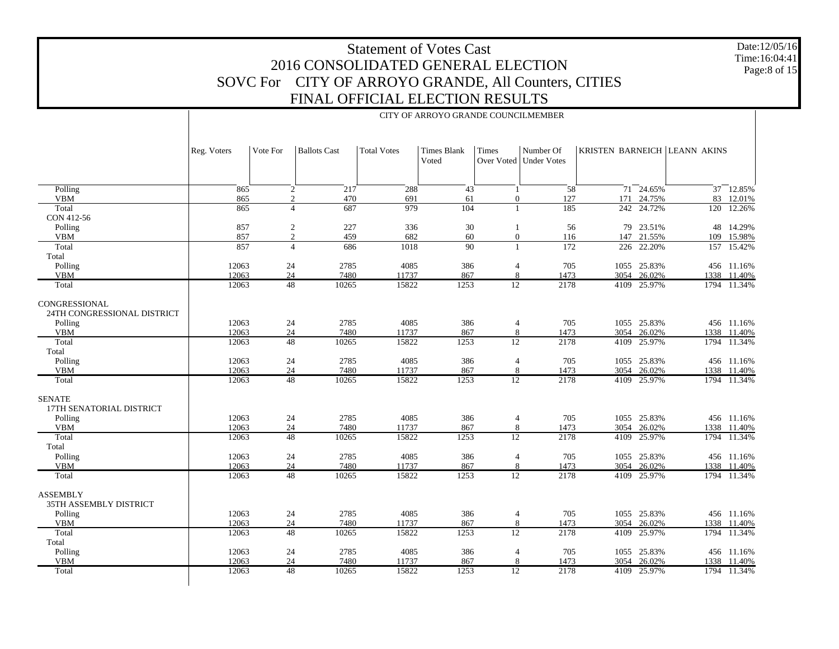Date:12/05/16 Time:16:04:41 Page:8 of 15

|                                              | CITY OF ARROYO GRANDE COUNCILMEMBER |                 |                     |                    |                             |                 |                                       |      |               |                              |             |  |  |
|----------------------------------------------|-------------------------------------|-----------------|---------------------|--------------------|-----------------------------|-----------------|---------------------------------------|------|---------------|------------------------------|-------------|--|--|
|                                              | Reg. Voters                         | Vote For        | <b>Ballots Cast</b> | <b>Total Votes</b> | <b>Times Blank</b><br>Voted | Times           | Number Of<br>Over Voted   Under Votes |      |               | KRISTEN BARNEICH LEANN AKINS |             |  |  |
| Polling                                      | 865                                 | $\overline{2}$  | 217                 | 288                | 43                          | $\overline{1}$  | $\overline{58}$                       |      | $71 - 24.65%$ |                              | 37 12.85%   |  |  |
| <b>VBM</b>                                   | 865                                 | $\overline{c}$  | 470                 | 691                | 61                          | $\mathbf{0}$    | 127                                   |      | 171 24.75%    |                              | 83 12.01%   |  |  |
| Total<br>CON 412-56                          | 865                                 | $\overline{4}$  | 687                 | 979                | 104                         | $\overline{1}$  | 185                                   | 242  | 24.72%        | 120                          | 12.26%      |  |  |
| Polling                                      | 857                                 | $\overline{c}$  | 227                 | 336                | 30                          | $\mathbf{1}$    | 56                                    | 79   | 23.51%        |                              | 48 14.29%   |  |  |
| <b>VBM</b>                                   | 857                                 | $\overline{c}$  | 459                 | 682                | 60                          | $\mathbf{0}$    | 116                                   |      | 147 21.55%    | 109                          | 15.98%      |  |  |
| Total                                        | 857                                 | $\overline{4}$  | 686                 | 1018               | 90                          | $\overline{1}$  | 172                                   | 226  | 22.20%        | 157                          | 15.42%      |  |  |
| Total                                        |                                     |                 |                     |                    |                             |                 |                                       |      |               |                              |             |  |  |
| Polling                                      | 12063                               | 24              | 2785                | 4085               | 386                         | $\overline{4}$  | 705                                   |      | 1055 25.83%   |                              | 456 11.16%  |  |  |
| <b>VBM</b>                                   | 12063                               | 24              | 7480                | 11737              | 867                         | 8               | 1473                                  | 3054 | 26.02%        | 1338                         | 11.40%      |  |  |
| Total                                        | 12063                               | 48              | 10265               | 15822              | 1253                        | 12              | 2178                                  | 4109 | 25.97%        |                              | 1794 11.34% |  |  |
| CONGRESSIONAL<br>24TH CONGRESSIONAL DISTRICT |                                     |                 |                     |                    |                             |                 |                                       |      |               |                              |             |  |  |
| Polling                                      | 12063                               | 24              | 2785                | 4085               | 386                         | $\overline{4}$  | 705                                   |      | 1055 25.83%   |                              | 456 11.16%  |  |  |
| <b>VBM</b>                                   | 12063                               | 24              | 7480                | 11737              | 867                         | $8\phantom{1}$  | 1473                                  | 3054 | 26.02%        | 1338                         | 11.40%      |  |  |
| Total                                        | 12063                               | $\overline{48}$ | 10265               | 15822              | 1253                        | $\overline{12}$ | 2178                                  | 4109 | 25.97%        | 1794                         | 11.34%      |  |  |
| Total                                        |                                     |                 |                     |                    |                             |                 |                                       |      |               |                              |             |  |  |
| Polling                                      | 12063                               | 24              | 2785                | 4085               | 386                         | $\overline{4}$  | 705                                   |      | 1055 25.83%   |                              | 456 11.16%  |  |  |
| <b>VBM</b>                                   | 12063                               | 24              | 7480                | 11737              | 867                         | 8               | 1473                                  | 3054 | 26.02%        | 1338                         | 11.40%      |  |  |
| Total                                        | 12063                               | 48              | 10265               | 15822              | 1253                        | $\overline{12}$ | 2178                                  | 4109 | 25.97%        | 1794                         | 11.34%      |  |  |
| <b>SENATE</b><br>17TH SENATORIAL DISTRICT    |                                     |                 |                     |                    |                             |                 |                                       |      |               |                              |             |  |  |
| Polling                                      | 12063                               | 24              | 2785                | 4085               | 386                         | $\overline{4}$  | 705                                   |      | 1055 25.83%   |                              | 456 11.16%  |  |  |
| <b>VBM</b>                                   | 12063                               | 24              | 7480                | 11737              | 867                         | 8               | 1473                                  | 3054 | 26.02%        | 1338                         | 11.40%      |  |  |
| Total<br>Total                               | 12063                               | 48              | 10265               | 15822              | 1253                        | 12              | 2178                                  | 4109 | 25.97%        | 1794                         | 11.34%      |  |  |
| Polling                                      | 12063                               | 24              | 2785                | 4085               | 386                         | $\overline{4}$  | 705                                   |      | 1055 25.83%   |                              | 456 11.16%  |  |  |
| <b>VBM</b>                                   | 12063                               | 24              | 7480                | 11737              | 867                         | 8               | 1473                                  | 3054 | 26.02%        | 1338                         | 11.40%      |  |  |
| Total                                        | 12063                               | 48              | 10265               | 15822              | 1253                        | 12              | 2178                                  | 4109 | 25.97%        |                              | 1794 11.34% |  |  |
| <b>ASSEMBLY</b><br>35TH ASSEMBLY DISTRICT    |                                     |                 |                     |                    |                             |                 |                                       |      |               |                              |             |  |  |
| Polling                                      | 12063                               | 24              | 2785                | 4085               | 386                         | $\overline{4}$  | 705                                   |      | 1055 25.83%   |                              | 456 11.16%  |  |  |
| <b>VBM</b>                                   | 12063                               | 24              | 7480                | 11737              | 867                         | 8               | 1473                                  | 3054 | 26.02%        | 1338                         | 11.40%      |  |  |
| Total<br>Total                               | 12063                               | 48              | 10265               | 15822              | 1253                        | $\overline{12}$ | 2178                                  | 4109 | 25.97%        | 1794                         | 11.34%      |  |  |
| Polling                                      | 12063                               | 24              | 2785                | 4085               | 386                         | $\overline{4}$  | 705                                   |      | 1055 25.83%   |                              | 456 11.16%  |  |  |
| <b>VBM</b>                                   | 12063                               | 24              | 7480                | 11737              | 867                         | 8               | 1473                                  | 3054 | 26.02%        | 1338                         | 11.40%      |  |  |
| Total                                        | 12063                               | 48              | 10265               | 15822              | 1253                        | $\overline{12}$ | 2178                                  | 4109 | 25.97%        |                              | 1794 11.34% |  |  |
|                                              |                                     |                 |                     |                    |                             |                 |                                       |      |               |                              |             |  |  |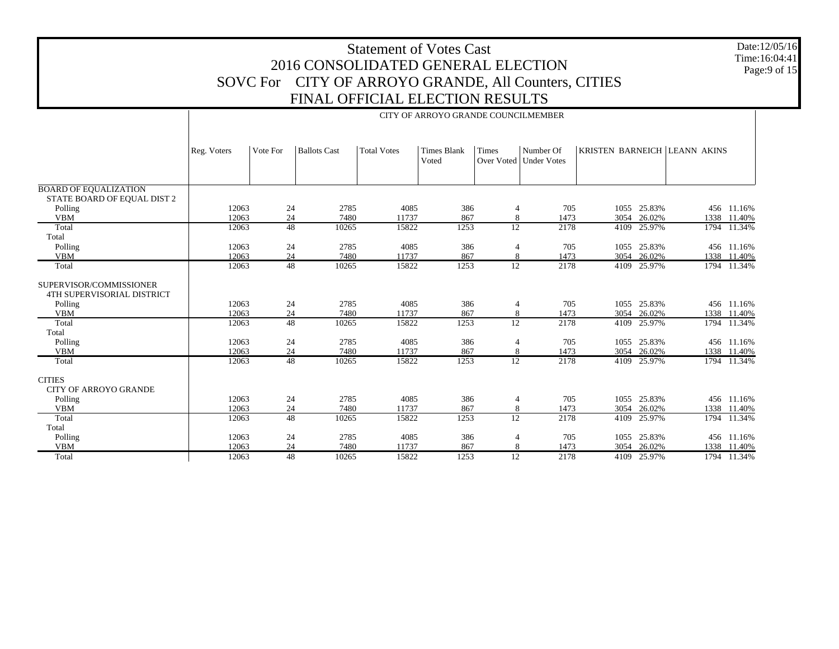|                                                             | <b>Statement of Votes Cast</b><br>2016 CONSOLIDATED GENERAL ELECTION |                                     |                                                      |                    |                             |                     |                                       |      |                            |                              |                           |                 |  |
|-------------------------------------------------------------|----------------------------------------------------------------------|-------------------------------------|------------------------------------------------------|--------------------|-----------------------------|---------------------|---------------------------------------|------|----------------------------|------------------------------|---------------------------|-----------------|--|
|                                                             |                                                                      |                                     |                                                      |                    |                             |                     |                                       |      |                            |                              |                           | Page: $9$ of 15 |  |
|                                                             |                                                                      |                                     | SOVC For CITY OF ARROYO GRANDE, All Counters, CITIES |                    |                             |                     |                                       |      |                            |                              |                           |                 |  |
|                                                             |                                                                      |                                     |                                                      |                    |                             |                     |                                       |      |                            |                              |                           |                 |  |
|                                                             | FINAL OFFICIAL ELECTION RESULTS                                      |                                     |                                                      |                    |                             |                     |                                       |      |                            |                              |                           |                 |  |
|                                                             |                                                                      | CITY OF ARROYO GRANDE COUNCILMEMBER |                                                      |                    |                             |                     |                                       |      |                            |                              |                           |                 |  |
|                                                             |                                                                      |                                     |                                                      |                    |                             |                     |                                       |      |                            |                              |                           |                 |  |
|                                                             | Reg. Voters                                                          | Vote For                            | <b>Ballots Cast</b>                                  | <b>Total Votes</b> | <b>Times Blank</b><br>Voted | <b>Times</b>        | Number Of<br>Over Voted   Under Votes |      |                            | KRISTEN BARNEICH LEANN AKINS |                           |                 |  |
|                                                             |                                                                      |                                     |                                                      |                    |                             |                     |                                       |      |                            |                              |                           |                 |  |
| <b>BOARD OF EQUALIZATION</b><br>STATE BOARD OF EQUAL DIST 2 |                                                                      |                                     |                                                      |                    |                             |                     |                                       |      |                            |                              |                           |                 |  |
| Polling                                                     | 12063                                                                | 24                                  | 2785                                                 | 4085               | 386                         | 4                   | 705                                   |      | 1055 25.83%                |                              | 456 11.16%                |                 |  |
| <b>VBM</b><br>Total                                         | 12063<br>12063                                                       | 24<br>48                            | 7480<br>10265                                        | 11737<br>15822     | 867<br>1253                 | $\,8\,$<br>12       | 1473<br>2178                          |      | 3054 26.02%<br>4109 25.97% |                              | 1338 11.40%               |                 |  |
| Total                                                       |                                                                      |                                     |                                                      |                    |                             |                     |                                       |      |                            |                              | 1794 11.34%               |                 |  |
| Polling                                                     | 12063                                                                | 24                                  | 2785                                                 | 4085               | 386                         | $\overline{4}$      | 705                                   |      | 1055 25.83%                |                              | 456 11.16%                |                 |  |
| <b>VBM</b>                                                  | 12063                                                                | 24                                  | 7480                                                 | 11737              | 867                         | 8                   | 1473                                  | 3054 | 26.02%                     |                              | 1338 11.40%               |                 |  |
| Total                                                       | 12063                                                                | $\overline{48}$                     | 10265                                                | 15822              | 1253                        | $\overline{12}$     | 2178                                  |      | 4109 25.97%                |                              | 1794 11.34%               |                 |  |
| SUPERVISOR/COMMISSIONER<br>4TH SUPERVISORIAL DISTRICT       |                                                                      |                                     |                                                      |                    |                             |                     |                                       |      |                            |                              |                           |                 |  |
| Polling                                                     | 12063                                                                | 24                                  | 2785                                                 | 4085               | 386                         | 4                   | 705                                   |      | 1055 25.83%                |                              | 456 11.16%                |                 |  |
| <b>VBM</b>                                                  | 12063                                                                | 24                                  | 7480                                                 | 11737              | 867                         | 8                   | 1473                                  |      | 3054 26.02%                |                              | 1338 11.40%               |                 |  |
| Total                                                       | 12063                                                                | 48                                  | 10265                                                | 15822              | 1253                        | 12                  | 2178                                  |      | 4109 25.97%                |                              | 1794 11.34%               |                 |  |
| Total                                                       |                                                                      |                                     |                                                      |                    |                             |                     |                                       |      |                            |                              |                           |                 |  |
| Polling<br><b>VBM</b>                                       | 12063<br>12063                                                       | 24<br>24                            | 2785<br>7480                                         | 4085<br>11737      | 386<br>867                  | $\overline{4}$<br>8 | 705<br>1473                           |      | 1055 25.83%<br>3054 26.02% |                              | 456 11.16%<br>1338 11.40% |                 |  |
| Total                                                       | 12063                                                                | 48                                  | 10265                                                | 15822              | 1253                        | $\overline{12}$     | 2178                                  |      | 4109 25.97%                |                              | 1794 11.34%               |                 |  |
|                                                             |                                                                      |                                     |                                                      |                    |                             |                     |                                       |      |                            |                              |                           |                 |  |
| <b>CITIES</b><br><b>CITY OF ARROYO GRANDE</b>               |                                                                      |                                     |                                                      |                    |                             |                     |                                       |      |                            |                              |                           |                 |  |
| Polling                                                     | 12063                                                                | 24                                  | 2785                                                 | 4085               | 386                         | 4                   | 705                                   |      | 1055 25.83%                |                              | 456 11.16%                |                 |  |
| <b>VBM</b>                                                  | 12063                                                                | 24<br>$\overline{48}$               | 7480                                                 | 11737              | 867                         | 8                   | 1473                                  |      | 3054 26.02%                |                              | 1338 11.40%               |                 |  |
| Total<br>Total                                              | 12063                                                                |                                     | 10265                                                | 15822              | 1253                        | 12                  | 2178                                  |      | 4109 25.97%                |                              | 1794 11.34%               |                 |  |
| Polling                                                     | 12063                                                                | 24                                  | 2785                                                 | 4085               | 386                         | $\overline{4}$      | 705                                   |      | 1055 25.83%                |                              | 456 11.16%                |                 |  |
| <b>VBM</b>                                                  | 12063                                                                | 24                                  | 7480                                                 | 11737              | 867                         | 8                   | 1473                                  |      | 3054 26.02%                |                              | 1338 11.40%               |                 |  |
| Total                                                       | 12063                                                                | $\overline{48}$                     | 10265                                                | 15822              | 1253                        | 12                  | 2178                                  |      | 4109 25.97%                |                              | 1794 11.34%               |                 |  |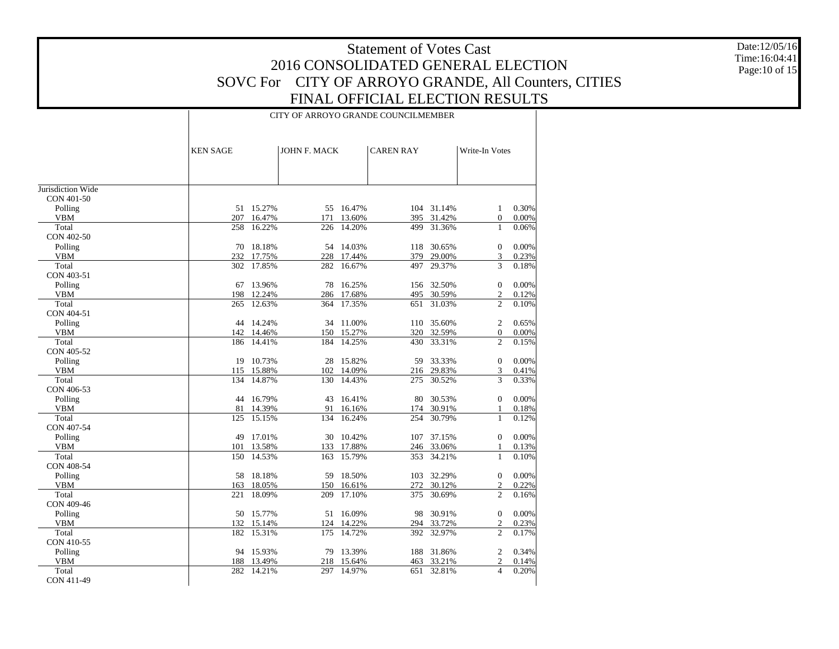Date:12/05/16 Time:16:04:41 Page:10 of 15

|                   | CITY OF ARROYO GRANDE COUNCILMEMBER |            |              |            |                  |            |                  |          |  |  |  |  |
|-------------------|-------------------------------------|------------|--------------|------------|------------------|------------|------------------|----------|--|--|--|--|
|                   | <b>KEN SAGE</b>                     |            | JOHN F. MACK |            | <b>CAREN RAY</b> |            | Write-In Votes   |          |  |  |  |  |
|                   |                                     |            |              |            |                  |            |                  |          |  |  |  |  |
| Jurisdiction Wide |                                     |            |              |            |                  |            |                  |          |  |  |  |  |
| CON 401-50        |                                     |            |              |            |                  |            |                  |          |  |  |  |  |
| Polling           |                                     | 51 15.27%  |              | 55 16.47%  |                  | 104 31.14% | 1                | 0.30%    |  |  |  |  |
| <b>VBM</b>        | 207                                 | 16.47%     | 171          | 13.60%     |                  | 395 31.42% | $\overline{0}$   | $0.00\%$ |  |  |  |  |
| Total             | 258                                 | 16.22%     | 226          | 14.20%     | 499              | 31.36%     | $\mathbf{1}$     | 0.06%    |  |  |  |  |
| CON 402-50        |                                     |            |              |            |                  |            |                  |          |  |  |  |  |
| Polling           |                                     | 70 18.18%  |              | 54 14.03%  | 118              | 30.65%     | $\mathbf{0}$     | 0.00%    |  |  |  |  |
| <b>VBM</b>        |                                     | 232 17.75% |              | 228 17.44% | 379              | 29.00%     | 3                | 0.23%    |  |  |  |  |
| Total             |                                     | 302 17.85% |              | 282 16.67% | 497              | 29.37%     | 3                | 0.18%    |  |  |  |  |
| CON 403-51        |                                     |            |              |            |                  |            |                  |          |  |  |  |  |
| Polling           |                                     | 67 13.96%  |              | 78 16.25%  |                  | 156 32.50% | $\mathbf{0}$     | 0.00%    |  |  |  |  |
| <b>VBM</b>        | 198                                 | 12.24%     |              | 286 17.68% | 495              | 30.59%     | 2                | 0.12%    |  |  |  |  |
| Total             | 265                                 | 12.63%     |              | 364 17.35% | 651              | 31.03%     | 2                | 0.10%    |  |  |  |  |
| CON 404-51        |                                     |            |              |            |                  |            |                  |          |  |  |  |  |
| Polling           |                                     | 44 14.24%  |              | 34 11.00%  |                  | 110 35.60% | 2                | 0.65%    |  |  |  |  |
| <b>VBM</b>        |                                     | 142 14.46% |              | 150 15.27% | 320              | 32.59%     | $\overline{0}$   | 0.00%    |  |  |  |  |
| Total             |                                     | 186 14.41% | 184          | 14.25%     | 430              | 33.31%     | $\overline{c}$   | 0.15%    |  |  |  |  |
| CON 405-52        |                                     |            |              |            |                  |            |                  |          |  |  |  |  |
| Polling           |                                     | 19 10.73%  |              | 28 15.82%  |                  | 59 33.33%  | $\mathbf{0}$     | 0.00%    |  |  |  |  |
| <b>VBM</b>        |                                     | 115 15.88% |              | 102 14.09% |                  | 216 29.83% | 3                | 0.41%    |  |  |  |  |
| Total             | 134                                 | 14.87%     | 130          | 14.43%     | 275              | 30.52%     | 3                | 0.33%    |  |  |  |  |
| CON 406-53        |                                     |            |              |            |                  |            |                  |          |  |  |  |  |
| Polling           |                                     | 44 16.79%  |              | 43 16.41%  |                  | 80 30.53%  | $\mathbf{0}$     | 0.00%    |  |  |  |  |
| VBM               | 81                                  | 14.39%     |              | 91 16.16%  | 174              | 30.91%     | 1                | 0.18%    |  |  |  |  |
| Total             | 125                                 | 15.15%     | 134          | 16.24%     | 254              | 30.79%     | $\mathbf{1}$     | 0.12%    |  |  |  |  |
| CON 407-54        |                                     |            |              |            |                  |            |                  |          |  |  |  |  |
| Polling           |                                     | 49 17.01%  |              | 30 10.42%  |                  | 107 37.15% | $\Omega$         | 0.00%    |  |  |  |  |
| VBM               | 101                                 | 13.58%     |              | 133 17.88% |                  | 246 33.06% | $\mathbf{1}$     | 0.13%    |  |  |  |  |
| Total             | 150                                 | 14.53%     |              | 163 15.79% |                  | 353 34.21% | $\mathbf{1}$     | 0.10%    |  |  |  |  |
| CON 408-54        |                                     |            |              |            |                  |            |                  |          |  |  |  |  |
| Polling           |                                     | 58 18.18%  |              | 59 18.50%  |                  | 103 32.29% | $\boldsymbol{0}$ | 0.00%    |  |  |  |  |
| <b>VBM</b>        | 163                                 | 18.05%     | 150          | 16.61%     | 272              | 30.12%     | $\overline{c}$   | 0.22%    |  |  |  |  |
| Total             | 221                                 | 18.09%     |              | 209 17.10% | 375              | 30.69%     | $\overline{c}$   | 0.16%    |  |  |  |  |
| CON 409-46        |                                     |            |              |            |                  |            |                  |          |  |  |  |  |
| Polling           |                                     | 50 15.77%  |              | 51 16.09%  |                  | 98 30.91%  | $\mathbf{0}$     | 0.00%    |  |  |  |  |
| VBM               |                                     | 132 15.14% | 124          | 14.22%     | 294              | 33.72%     | $\overline{c}$   | 0.23%    |  |  |  |  |
| Total             |                                     | 182 15.31% |              | 175 14.72% |                  | 392 32.97% | $\overline{2}$   | 0.17%    |  |  |  |  |
| CON 410-55        |                                     |            |              |            |                  |            |                  |          |  |  |  |  |
| Polling           |                                     | 94 15.93%  |              | 79 13.39%  |                  | 188 31.86% | 2                | 0.34%    |  |  |  |  |
| VBM               |                                     | 188 13.49% |              | 218 15.64% | 463              | 33.21%     | 2                | 0.14%    |  |  |  |  |
| Total             |                                     | 282 14.21% | 297          | 14.97%     | 651              | 32.81%     | $\overline{4}$   | 0.20%    |  |  |  |  |
| CON 411-49        |                                     |            |              |            |                  |            |                  |          |  |  |  |  |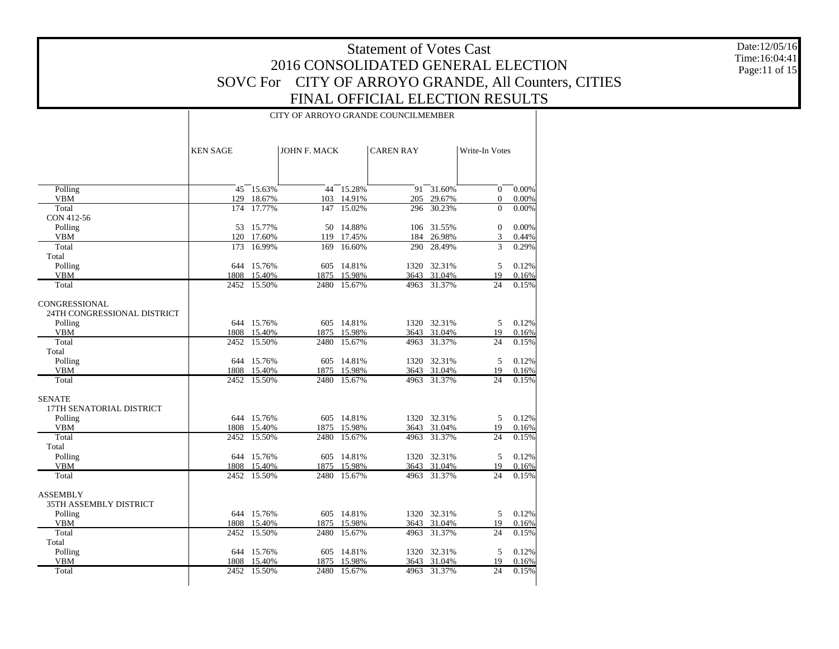Date:12/05/16 Time:16:04:41 Page:11 of 15

#### CITY OF ARROYO GRANDE COUNCILMEMBER

|                                              | <b>KEN SAGE</b> |                  | <b>JOHN F. MACK</b> |                      | <b>CAREN RAY</b> |                  | Write-In Votes |                |
|----------------------------------------------|-----------------|------------------|---------------------|----------------------|------------------|------------------|----------------|----------------|
|                                              |                 |                  |                     |                      |                  |                  |                |                |
| Polling                                      |                 | $45 - 15.63%$    |                     | $44$ 15.28%          |                  | $91 - 31.60\%$   | $\theta$       | 0.00%          |
| <b>VBM</b>                                   | 129             | 18.67%           |                     | 103 14.91%           | 205              | 29.67%           | $\overline{0}$ | 0.00%          |
| Total                                        | 174             | 17.77%           | 147                 | 15.02%               | 296              | 30.23%           | $\Omega$       | 0.00%          |
| CON 412-56                                   |                 |                  |                     |                      |                  |                  |                |                |
| Polling                                      |                 | 53 15.77%        |                     | 50 14.88%            |                  | 106 31.55%       | $\mathbf{0}$   | 0.00%          |
| <b>VBM</b><br>Total                          | 120<br>173      | 17.60%<br>16.99% | 169                 | 119 17.45%<br>16.60% | 184<br>290       | 26.98%<br>28.49% | 3<br>3         | 0.44%<br>0.29% |
| Total                                        |                 |                  |                     |                      |                  |                  |                |                |
| Polling                                      | 644             | 15.76%           | 605                 | 14.81%               |                  | 1320 32.31%      | 5              | 0.12%          |
| <b>VBM</b>                                   | 1808            | 15.40%           |                     | 1875 15.98%          | 3643             | 31.04%           | 19             | 0.16%          |
| Total                                        |                 | 2452 15.50%      |                     | 2480 15.67%          |                  | 4963 31.37%      | 24             | 0.15%          |
| CONGRESSIONAL<br>24TH CONGRESSIONAL DISTRICT |                 |                  |                     |                      |                  |                  |                |                |
| Polling                                      |                 | 644 15.76%       |                     | 605 14.81%           |                  | 1320 32.31%      | 5              | 0.12%          |
| <b>VBM</b>                                   |                 | 1808 15.40%      |                     | 1875 15.98%          |                  | 3643 31.04%      | 19             | 0.16%          |
| Total                                        |                 | 2452 15.50%      | 2480                | 15.67%               |                  | 4963 31.37%      | 24             | 0.15%          |
| Total                                        |                 |                  |                     |                      |                  |                  |                |                |
| Polling                                      |                 | 644 15.76%       |                     | 605 14.81%           |                  | 1320 32.31%      | 5              | 0.12%          |
| <b>VBM</b>                                   | 1808            | 15.40%           | 1875                | 15.98%               | 3643             | 31.04%           | 19             | 0.16%          |
| Total                                        | 2452            | 15.50%           | 2480                | 15.67%               | 4963             | 31.37%           | 24             | 0.15%          |
| <b>SENATE</b><br>17TH SENATORIAL DISTRICT    |                 |                  |                     |                      |                  |                  |                |                |
| Polling                                      |                 | 644 15.76%       |                     | 605 14.81%           |                  | 1320 32.31%      | 5              | 0.12%          |
| <b>VBM</b><br>Total                          |                 | 1808 15.40%      |                     | 1875 15.98%          |                  | 3643 31.04%      | 19             | 0.16%          |
|                                              | 2452            | 15.50%           | 2480                | 15.67%               | 4963             | 31.37%           | 24             | 0.15%          |
| Total<br>Polling                             |                 | 644 15.76%       |                     | 605 14.81%           |                  | 1320 32.31%      | 5              | 0.12%          |
| <b>VBM</b>                                   |                 | 1808 15.40%      | 1875                | 15.98%               | 3643             | 31.04%           | 19             | 0.16%          |
| Total                                        |                 | 2452 15.50%      | 2480                | 15.67%               | 4963             | 31.37%           | 24             | 0.15%          |
| <b>ASSEMBLY</b><br>35TH ASSEMBLY DISTRICT    |                 |                  |                     |                      |                  |                  |                |                |
| Polling                                      |                 | 644 15.76%       |                     | 605 14.81%           |                  | 1320 32.31%      | 5              | 0.12%          |
| VBM                                          |                 | 1808 15.40%      |                     | 1875 15.98%          |                  | 3643 31.04%      | 19             | 0.16%          |
| Total                                        | 2452            | 15.50%           | 2480                | 15.67%               | 4963             | 31.37%           | 24             | 0.15%          |
| Total                                        |                 |                  |                     |                      |                  |                  |                |                |
| Polling                                      |                 | 644 15.76%       | 605                 | 14.81%               |                  | 1320 32.31%      | 5              | 0.12%          |
| <b>VBM</b>                                   | 1808            | 15.40%           | 1875                | 15.98%               |                  | 3643 31.04%      | 19             | 0.16%          |
| Total                                        | 2452            | 15.50%           | 2480                | 15.67%               | 4963             | 31.37%           | 24             | 0.15%          |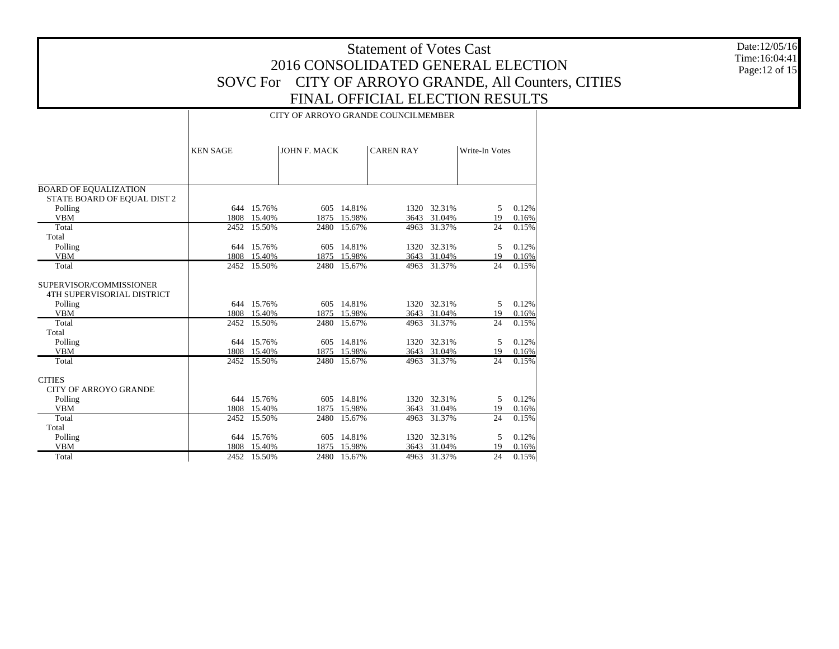Date:12/05/16 Time:16:04:41 Page:12 of 15

|                                                       | CITY OF ARROYO GRANDE COUNCILMEMBER |                       |              |                       |                  |                            |                |                |  |  |  |  |  |
|-------------------------------------------------------|-------------------------------------|-----------------------|--------------|-----------------------|------------------|----------------------------|----------------|----------------|--|--|--|--|--|
|                                                       | <b>KEN SAGE</b>                     |                       | JOHN F. MACK |                       | <b>CAREN RAY</b> |                            | Write-In Votes |                |  |  |  |  |  |
|                                                       |                                     |                       |              |                       |                  |                            |                |                |  |  |  |  |  |
| <b>BOARD OF EQUALIZATION</b>                          |                                     |                       |              |                       |                  |                            |                |                |  |  |  |  |  |
| STATE BOARD OF EQUAL DIST 2                           |                                     |                       |              |                       |                  |                            |                |                |  |  |  |  |  |
| Polling<br><b>VBM</b>                                 |                                     | 644 15.76%            |              | 605 14.81%            |                  | 1320 32.31%                | 5<br>19        | 0.12%          |  |  |  |  |  |
| Total                                                 | 1808                                | 15.40%<br>2452 15.50% | 1875         | 15.98%<br>2480 15.67% |                  | 3643 31.04%<br>4963 31.37% | 24             | 0.16%<br>0.15% |  |  |  |  |  |
| Total                                                 |                                     |                       |              |                       |                  |                            |                |                |  |  |  |  |  |
| Polling                                               |                                     | 644 15.76%            | 605          | 14.81%                |                  | 1320 32.31%                | 5              | 0.12%          |  |  |  |  |  |
| <b>VBM</b>                                            | 1808                                | 15.40%                | 1875         | 15.98%                |                  | 3643 31.04%                | 19             | 0.16%          |  |  |  |  |  |
| Total                                                 |                                     | 2452 15.50%           | 2480         | 15.67%                |                  | 4963 31.37%                | 24             | 0.15%          |  |  |  |  |  |
|                                                       |                                     |                       |              |                       |                  |                            |                |                |  |  |  |  |  |
| SUPERVISOR/COMMISSIONER<br>4TH SUPERVISORIAL DISTRICT |                                     |                       |              |                       |                  |                            |                |                |  |  |  |  |  |
| Polling                                               |                                     | 644 15.76%            | 605          | 14.81%                |                  | 1320 32.31%                | 5              | 0.12%          |  |  |  |  |  |
| <b>VBM</b>                                            |                                     | 1808 15.40%           | 1875         | 15.98%                |                  | 3643 31.04%                | 19             | 0.16%          |  |  |  |  |  |
| Total                                                 |                                     | 2452 15.50%           | 2480         | 15.67%                |                  | 4963 31.37%                | 24             | 0.15%          |  |  |  |  |  |
| Total                                                 |                                     |                       |              |                       |                  |                            |                |                |  |  |  |  |  |
| Polling                                               |                                     | 644 15.76%            | 605          | 14.81%                |                  | 1320 32.31%                | 5              | 0.12%          |  |  |  |  |  |
| <b>VBM</b>                                            | 1808                                | 15.40%                | 1875         | 15.98%                |                  | 3643 31.04%                | 19             | 0.16%          |  |  |  |  |  |
| Total                                                 |                                     | 2452 15.50%           | 2480         | 15.67%                |                  | 4963 31.37%                | 24             | 0.15%          |  |  |  |  |  |
| <b>CITIES</b>                                         |                                     |                       |              |                       |                  |                            |                |                |  |  |  |  |  |
| <b>CITY OF ARROYO GRANDE</b>                          |                                     |                       |              |                       |                  |                            |                |                |  |  |  |  |  |
| Polling                                               |                                     | 644 15.76%            |              | 605 14.81%            |                  | 1320 32.31%                | 5              | 0.12%          |  |  |  |  |  |
| <b>VBM</b>                                            |                                     | 1808 15.40%           | 1875         | 15.98%                |                  | 3643 31.04%                | 19             | 0.16%          |  |  |  |  |  |
| Total                                                 |                                     | 2452 15.50%           | 2480         | 15.67%                |                  | 4963 31.37%                | 24             | 0.15%          |  |  |  |  |  |
| Total                                                 |                                     |                       |              |                       |                  |                            |                |                |  |  |  |  |  |
| Polling                                               |                                     | 644 15.76%            | 605          | 14.81%                |                  | 1320 32.31%                | 5              | 0.12%          |  |  |  |  |  |
| <b>VBM</b>                                            | 1808                                | 15.40%                | 1875         | 15.98%                |                  | 3643 31.04%                | 19             | 0.16%          |  |  |  |  |  |
| Total                                                 | 2452                                | 15.50%                | 2480         | 15.67%                | 4963             | 31.37%                     | 24             | 0.15%          |  |  |  |  |  |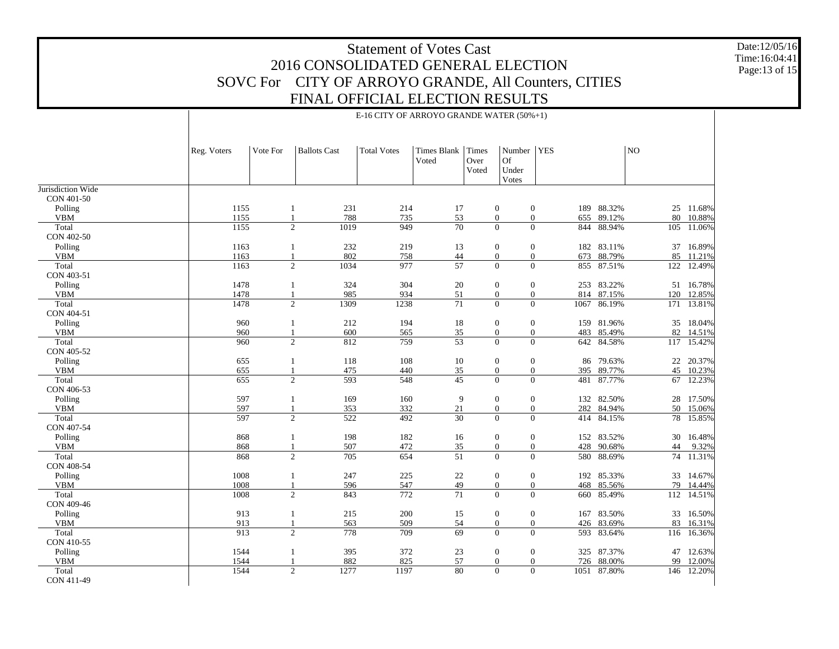Date:12/05/16 Time:16:04:41 Page:13 of 15

|                                 | E-16 CITY OF ARROYO GRANDE WATER (50%+1) |              |                        |                    |                            |               |                                             |                                           |                      |     |                      |
|---------------------------------|------------------------------------------|--------------|------------------------|--------------------|----------------------------|---------------|---------------------------------------------|-------------------------------------------|----------------------|-----|----------------------|
|                                 | Reg. Voters                              | Vote For     | <b>Ballots Cast</b>    | <b>Total Votes</b> | Times Blank Times<br>Voted | Over<br>Voted | Number   YES<br><b>Of</b><br>Under<br>Votes |                                           |                      | NO  |                      |
| Jurisdiction Wide<br>CON 401-50 |                                          |              |                        |                    |                            |               |                                             |                                           |                      |     |                      |
| Polling                         | 1155                                     | 1            | 231                    | 214                | 17                         |               | $\boldsymbol{0}$                            | $\boldsymbol{0}$                          | 189 88.32%           |     | 25 11.68%            |
| <b>VBM</b>                      | 1155                                     |              | 788                    | 735                | 53                         |               | $\mathbf{0}$                                | $\overline{0}$<br>655                     | 89.12%               | 80  | 10.88%               |
| Total                           | 1155                                     |              | $\mathbf{2}$<br>1019   | 949                | $\overline{70}$            |               | $\overline{0}$                              | $\overline{0}$<br>844                     | 88.94%               | 105 | 11.06%               |
| CON 402-50                      |                                          |              |                        |                    |                            |               |                                             |                                           |                      |     |                      |
| Polling                         | 1163                                     | 1            | 232                    | 219                | 13                         |               | $\boldsymbol{0}$                            | $\boldsymbol{0}$                          | 182 83.11%           |     | 37 16.89%            |
| <b>VBM</b>                      | 1163                                     |              | 802                    | 758                | 44                         |               | $\mathbf{0}$                                | $\mathbf{0}$<br>673                       | 88.79%               | 85  | 11.21%               |
| Total                           | 1163                                     |              | $\overline{2}$<br>1034 | 977                | $\overline{57}$            |               | $\mathbf{0}$                                | $\mathbf{0}$                              | 855 87.51%           | 122 | 12.49%               |
| CON 403-51                      |                                          |              |                        |                    |                            |               |                                             |                                           |                      |     |                      |
| Polling                         | 1478                                     | 1            | 324                    | 304                | 20                         |               | $\boldsymbol{0}$                            | $\boldsymbol{0}$                          | 253 83.22%           |     | 51 16.78%            |
| <b>VBM</b>                      | 1478                                     |              | 985                    | 934                | 51                         |               | $\mathbf{0}$                                | $\mathbf{0}$                              | 814 87.15%           | 120 | 12.85%               |
| Total                           | 1478                                     |              | $\overline{2}$<br>1309 | 1238               | 71                         |               | $\mathbf{0}$                                | $\mathbf{0}$<br>1067                      | 86.19%               |     | 171 13.81%           |
| CON 404-51                      |                                          |              |                        |                    |                            |               |                                             |                                           |                      |     |                      |
| Polling<br><b>VBM</b>           | 960<br>960                               | -1           | 212<br>600             | 194<br>565         | 18<br>35                   |               | $\boldsymbol{0}$<br>$\mathbf{0}$            | $\boldsymbol{0}$<br>$\overline{0}$<br>483 | 159 81.96%<br>85.49% | 82  | 35 18.04%            |
| Total                           | 960                                      |              | $\overline{2}$<br>812  | 759                | $\overline{53}$            |               | $\mathbf{0}$                                | $\overline{0}$<br>642                     | 84.58%               |     | 14.51%<br>117 15.42% |
| CON 405-52                      |                                          |              |                        |                    |                            |               |                                             |                                           |                      |     |                      |
| Polling                         | 655                                      | 1            | 118                    | 108                | $10\,$                     |               | $\boldsymbol{0}$                            | $\boldsymbol{0}$                          | 86 79.63%            |     | 22 20.37%            |
| <b>VBM</b>                      | 655                                      | $\mathbf{1}$ | 475                    | 440                | 35                         |               | $\boldsymbol{0}$                            | $\boldsymbol{0}$<br>395                   | 89.77%               | 45  | 10.23%               |
| Total                           | 655                                      |              | $\overline{2}$<br>593  | 548                | 45                         |               | $\overline{0}$                              | $\overline{0}$<br>481                     | 87.77%               |     | 67 12.23%            |
| CON 406-53                      |                                          |              |                        |                    |                            |               |                                             |                                           |                      |     |                      |
| Polling                         | 597                                      | $\mathbf{1}$ | 169                    | 160                | 9                          |               | $\boldsymbol{0}$                            | $\boldsymbol{0}$                          | 132 82.50%           |     | 28 17.50%            |
| <b>VBM</b>                      | 597                                      | $\mathbf{1}$ | 353                    | 332                | $21\,$                     |               | $\boldsymbol{0}$                            | $\boldsymbol{0}$<br>282                   | 84.94%               |     | 50 15.06%            |
| Total                           | 597                                      |              | $\mathbf{2}$<br>522    | 492                | $\overline{30}$            |               | $\mathbf{0}$                                | $\overline{0}$                            | 414 84.15%           |     | 78 15.85%            |
| CON 407-54                      |                                          |              |                        |                    |                            |               |                                             |                                           |                      |     |                      |
| Polling                         | 868                                      |              | 198                    | 182                | 16                         |               | $\boldsymbol{0}$                            | $\mathbf{0}$                              | 152 83.52%           |     | 30 16.48%            |
| <b>VBM</b>                      | 868                                      |              | 507                    | 472                | 35                         |               | $\mathbf{0}$                                | $\mathbf{0}$<br>428                       | 90.68%               | 44  | 9.32%                |
| Total                           | 868                                      |              | $\overline{2}$<br>705  | 654                | $\overline{51}$            |               | $\mathbf{0}$                                | $\overline{0}$                            | 580 88.69%           |     | 74 11.31%            |
| CON 408-54                      |                                          |              |                        |                    |                            |               |                                             |                                           |                      |     |                      |
| Polling                         | 1008                                     |              | 247                    | 225                | $22\,$                     |               | $\boldsymbol{0}$                            | $\boldsymbol{0}$                          | 192 85.33%           |     | 33 14.67%            |
| <b>VBM</b>                      | 1008                                     |              | 596                    | 547                | 49                         |               | $\mathbf{0}$                                | $\overline{0}$<br>468                     | 85.56%               | 79  | 14.44%               |
| Total<br>CON 409-46             | 1008                                     |              | $\overline{2}$<br>843  | 772                | $\overline{71}$            |               | $\mathbf{0}$                                | $\overline{0}$<br>660                     | 85.49%               |     | 112 14.51%           |
| Polling                         | 913                                      | 1            | 215                    | 200                | 15                         |               | $\boldsymbol{0}$                            | $\boldsymbol{0}$                          | 167 83.50%           |     | 33 16.50%            |
| ${\bf VBM}$                     | 913                                      |              | 563                    | 509                | 54                         |               | $\boldsymbol{0}$                            | $\boldsymbol{0}$                          | 426 83.69%           | 83  | 16.31%               |
| Total                           | 913                                      |              | $\overline{2}$<br>778  | 709                | 69                         |               | $\theta$                                    | $\Omega$<br>593                           | 83.64%               | 116 | 16.36%               |
| CON 410-55                      |                                          |              |                        |                    |                            |               |                                             |                                           |                      |     |                      |
| Polling                         | 1544                                     |              | 395                    | 372                | 23                         |               | $\boldsymbol{0}$                            | $\mathbf{0}$                              | 325 87.37%           |     | 47 12.63%            |
| ${\bf VBM}$                     | 1544                                     |              | 882                    | 825                | 57                         |               | $\mathbf{0}$                                | $\boldsymbol{0}$                          | 726 88.00%           | 99  | 12.00%               |
| Total<br>CON 411-49             | 1544                                     |              | $\overline{2}$<br>1277 | 1197               | 80                         |               | $\overline{0}$                              | $\overline{0}$<br>1051                    | 87.80%               | 146 | 12.20%               |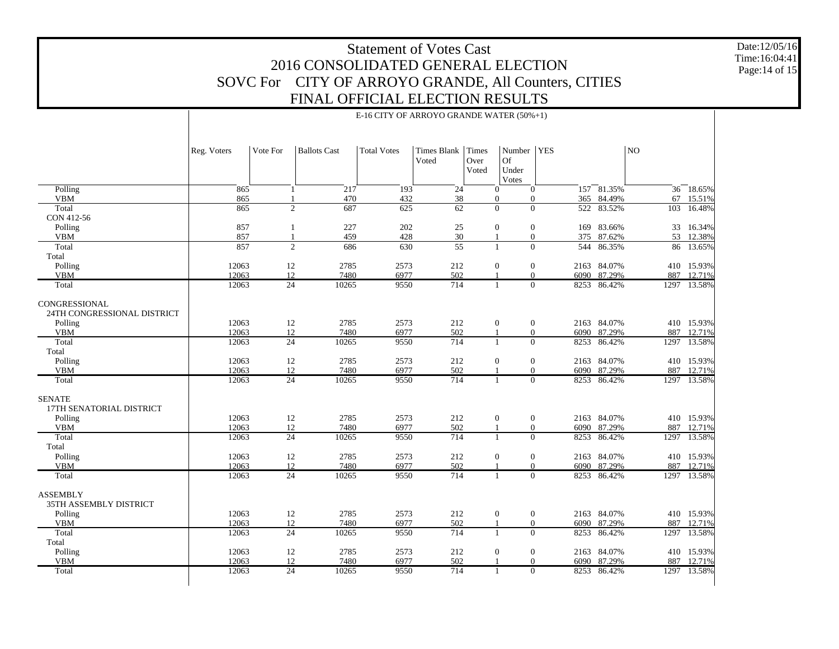Date:12/05/16 Time:16:04:41 Page:14 of 15

|                                                  | Reg. Voters    | Vote For                       | <b>Ballots Cast</b> | <b>Total Votes</b> | Times Blank<br>Voted | <b>Times</b><br>Over<br>Voted | Number   YES<br><b>Of</b><br>Under<br>Votes                          |              |                  | NO        |                      |
|--------------------------------------------------|----------------|--------------------------------|---------------------|--------------------|----------------------|-------------------------------|----------------------------------------------------------------------|--------------|------------------|-----------|----------------------|
| Polling                                          | 865            | 1                              | $\sqrt{217}$        | $\overline{193}$   | 24                   |                               | $\mathbf{0}$<br>$\mathbf{0}$                                         |              | 157 81.35%       |           | 36 18.65%            |
| <b>VBM</b><br>Total                              | 865<br>865     | $\mathbf{1}$<br>$\overline{2}$ | 470<br>687          | 432<br>625         | 38<br>62             |                               | $\boldsymbol{0}$<br>$\mathbf{0}$<br>$\overline{0}$<br>$\overline{0}$ | 365<br>522   | 84.49%<br>83.52% | 67<br>103 | 15.51%<br>16.48%     |
| CON 412-56                                       |                |                                |                     |                    |                      |                               |                                                                      |              |                  |           |                      |
| Polling                                          | 857            | $\mathbf{1}$                   | 227                 | 202                | $25\,$               |                               | $\mathbf{0}$<br>$\overline{0}$                                       |              | 169 83.66%       |           | 33 16.34%            |
| <b>VBM</b>                                       | 857            | $\mathbf{1}$                   | 459                 | 428                | 30                   |                               | $\boldsymbol{0}$                                                     | 375          | 87.62%           | 53        | 12.38%               |
| Total                                            | 857            | 2                              | 686                 | 630                | $\overline{55}$      | $\mathbf{1}$                  | $\theta$                                                             | 544          | 86.35%           | 86        | 13.65%               |
| Total                                            |                |                                |                     |                    |                      |                               |                                                                      |              |                  |           |                      |
| Polling                                          | 12063          | 12                             | 2785                | 2573               | 212                  |                               | $\boldsymbol{0}$<br>$\boldsymbol{0}$                                 |              | 2163 84.07%      |           | 410 15.93%           |
| <b>VBM</b>                                       | 12063          | 12                             | 7480                | 6977               | 502                  |                               | $\mathbf{0}$                                                         | 6090         | 87.29%           | 887       | 12.71%               |
| Total                                            | 12063          | 24                             | 10265               | 9550               | 714                  | $\mathbf{1}$                  | $\overline{0}$                                                       | 8253         | 86.42%           | 1297      | 13.58%               |
| CONGRESSIONAL<br>24TH CONGRESSIONAL DISTRICT     |                |                                |                     |                    |                      |                               |                                                                      |              |                  |           |                      |
| Polling                                          | 12063          | 12                             | 2785                | 2573               | 212                  |                               | $\mathbf{0}$<br>$\boldsymbol{0}$                                     | 2163         | 84.07%           |           | 410 15.93%           |
| <b>VBM</b>                                       | 12063          | 12                             | 7480                | 6977               | 502                  | $\overline{1}$                | $\boldsymbol{0}$                                                     | 6090         | 87.29%           | 887       | 12.71%               |
| Total                                            | 12063          | $\overline{24}$                | 10265               | 9550               | 714                  | $\mathbf{1}$                  | $\Omega$                                                             | 8253         | 86.42%           | 1297      | 13.58%               |
| Total                                            | 12063          |                                | 2785                |                    |                      |                               |                                                                      |              | 84.07%           | 410       |                      |
| Polling<br><b>VBM</b>                            | 12063          | 12<br>12                       | 7480                | 2573<br>6977       | 212<br>502           |                               | $\boldsymbol{0}$<br>$\boldsymbol{0}$<br>$\Omega$                     | 2163<br>6090 | 87.29%           | 887       | 15.93%<br>12.71%     |
| Total                                            | 12063          | 24                             | 10265               | 9550               | 714                  |                               | $\overline{0}$<br>1                                                  | 8253         | 86.42%           | 1297      | 13.58%               |
|                                                  |                |                                |                     |                    |                      |                               |                                                                      |              |                  |           |                      |
| <b>SENATE</b><br>17TH SENATORIAL DISTRICT        |                |                                |                     |                    |                      |                               |                                                                      |              |                  |           |                      |
| Polling<br><b>VBM</b>                            | 12063<br>12063 | 12<br>12                       | 2785<br>7480        | 2573<br>6977       | 212<br>502           | $\overline{1}$                | $\boldsymbol{0}$<br>$\boldsymbol{0}$<br>$\mathbf{0}$                 | 2163<br>6090 | 84.07%<br>87.29% | 887       | 410 15.93%<br>12.71% |
| Total                                            | 12063          | 24                             | 10265               | 9550               | 714                  | 1                             | $\Omega$                                                             | 8253         | 86.42%           | 1297      | 13.58%               |
| Total                                            |                |                                |                     |                    |                      |                               |                                                                      |              |                  |           |                      |
| Polling                                          | 12063          | 12                             | 2785                | 2573               | 212                  |                               | $\boldsymbol{0}$<br>$\boldsymbol{0}$                                 | 2163         | 84.07%           |           | 410 15.93%           |
| <b>VBM</b>                                       | 12063          | 12                             | 7480                | 6977               | 502                  | $\overline{1}$                | $\mathbf{0}$                                                         | 6090         | 87.29%           | 887       | 12.71%               |
| Total                                            | 12063          | $\overline{24}$                | 10265               | 9550               | 714                  | $\mathbf{1}$                  | $\Omega$                                                             | 8253         | 86.42%           | 1297      | 13.58%               |
| <b>ASSEMBLY</b><br><b>35TH ASSEMBLY DISTRICT</b> |                |                                |                     |                    |                      |                               |                                                                      |              |                  |           |                      |
| Polling                                          | 12063          | 12                             | 2785                | 2573               | 212                  |                               | $\boldsymbol{0}$<br>$\mathbf{0}$                                     |              | 2163 84.07%      |           | 410 15.93%           |
| <b>VBM</b>                                       | 12063          | 12                             | 7480                | 6977               | 502                  | 1                             | $\boldsymbol{0}$                                                     | 6090         | 87.29%           | 887       | 12.71%               |
| Total                                            | 12063          | $\overline{24}$                | 10265               | 9550               | 714                  | $\mathbf{1}$                  | $\Omega$                                                             | 8253         | 86.42%           | 1297      | 13.58%               |
| Total                                            |                |                                |                     |                    |                      |                               |                                                                      |              |                  |           |                      |
| Polling                                          | 12063          | 12                             | 2785                | 2573               | 212                  |                               | $\mathbf{0}$<br>$\boldsymbol{0}$                                     | 2163         | 84.07%           | 410       | 15.93%               |
| <b>VBM</b>                                       | 12063          | 12                             | 7480                | 6977               | 502                  |                               | $\overline{0}$                                                       | 6090         | 87.29%           | 887       | 12.71%               |
| Total                                            | 12063          | $\overline{24}$                | 10265               | 9550               | 714                  | -1                            | $\Omega$                                                             | 8253         | 86.42%           |           | 1297 13.58%          |

E-16 CITY OF ARROYO GRANDE WATER (50%+1)